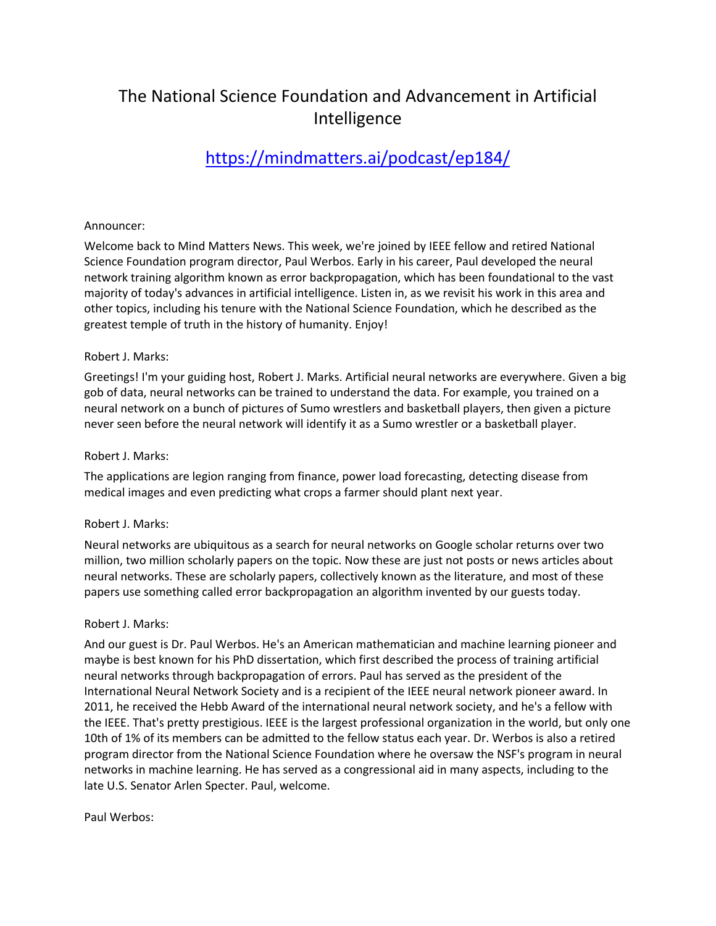# The National Science Foundation and Advancement in Artificial Intelligence

# https://mindmatters.ai/podcast/ep184/

## Announcer:

Welcome back to Mind Matters News. This week, we're joined by IEEE fellow and retired National Science Foundation program director, Paul Werbos. Early in his career, Paul developed the neural network training algorithm known as error backpropagation, which has been foundational to the vast majority of today's advances in artificial intelligence. Listen in, as we revisit his work in this area and other topics, including his tenure with the National Science Foundation, which he described as the greatest temple of truth in the history of humanity. Enjoy!

## Robert J. Marks:

Greetings! I'm your guiding host, Robert J. Marks. Artificial neural networks are everywhere. Given a big gob of data, neural networks can be trained to understand the data. For example, you trained on a neural network on a bunch of pictures of Sumo wrestlers and basketball players, then given a picture never seen before the neural network will identify it as a Sumo wrestler or a basketball player.

#### Robert J. Marks:

The applications are legion ranging from finance, power load forecasting, detecting disease from medical images and even predicting what crops a farmer should plant next year.

## Robert J. Marks:

Neural networks are ubiquitous as a search for neural networks on Google scholar returns over two million, two million scholarly papers on the topic. Now these are just not posts or news articles about neural networks. These are scholarly papers, collectively known as the literature, and most of these papers use something called error backpropagation an algorithm invented by our guests today.

## Robert J. Marks:

And our guest is Dr. Paul Werbos. He's an American mathematician and machine learning pioneer and maybe is best known for his PhD dissertation, which first described the process of training artificial neural networks through backpropagation of errors. Paul has served as the president of the International Neural Network Society and is a recipient of the IEEE neural network pioneer award. In 2011, he received the Hebb Award of the international neural network society, and he's a fellow with the IEEE. That's pretty prestigious. IEEE is the largest professional organization in the world, but only one 10th of 1% of its members can be admitted to the fellow status each year. Dr. Werbos is also a retired program director from the National Science Foundation where he oversaw the NSF's program in neural networks in machine learning. He has served as a congressional aid in many aspects, including to the late U.S. Senator Arlen Specter. Paul, welcome.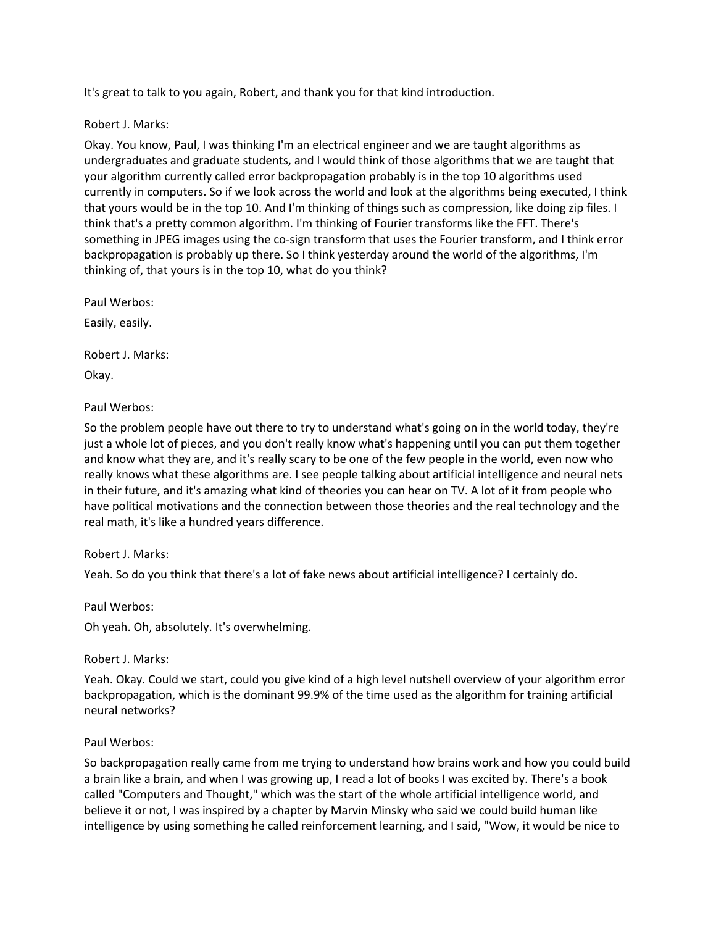It's great to talk to you again, Robert, and thank you for that kind introduction.

## Robert J. Marks:

Okay. You know, Paul, I was thinking I'm an electrical engineer and we are taught algorithms as undergraduates and graduate students, and I would think of those algorithms that we are taught that your algorithm currently called error backpropagation probably is in the top 10 algorithms used currently in computers. So if we look across the world and look at the algorithms being executed, I think that yours would be in the top 10. And I'm thinking of things such as compression, like doing zip files. I think that's a pretty common algorithm. I'm thinking of Fourier transforms like the FFT. There's something in JPEG images using the co-sign transform that uses the Fourier transform, and I think error backpropagation is probably up there. So I think yesterday around the world of the algorithms, I'm thinking of, that yours is in the top 10, what do you think?

Paul Werbos:

Easily, easily.

Robert J. Marks:

Okay.

Paul Werbos:

So the problem people have out there to try to understand what's going on in the world today, they're just a whole lot of pieces, and you don't really know what's happening until you can put them together and know what they are, and it's really scary to be one of the few people in the world, even now who really knows what these algorithms are. I see people talking about artificial intelligence and neural nets in their future, and it's amazing what kind of theories you can hear on TV. A lot of it from people who have political motivations and the connection between those theories and the real technology and the real math, it's like a hundred years difference.

Robert J. Marks:

Yeah. So do you think that there's a lot of fake news about artificial intelligence? I certainly do.

Paul Werbos:

Oh yeah. Oh, absolutely. It's overwhelming.

Robert J. Marks:

Yeah. Okay. Could we start, could you give kind of a high level nutshell overview of your algorithm error backpropagation, which is the dominant 99.9% of the time used as the algorithm for training artificial neural networks?

## Paul Werbos:

So backpropagation really came from me trying to understand how brains work and how you could build a brain like a brain, and when I was growing up, I read a lot of books I was excited by. There's a book called "Computers and Thought," which was the start of the whole artificial intelligence world, and believe it or not, I was inspired by a chapter by Marvin Minsky who said we could build human like intelligence by using something he called reinforcement learning, and I said, "Wow, it would be nice to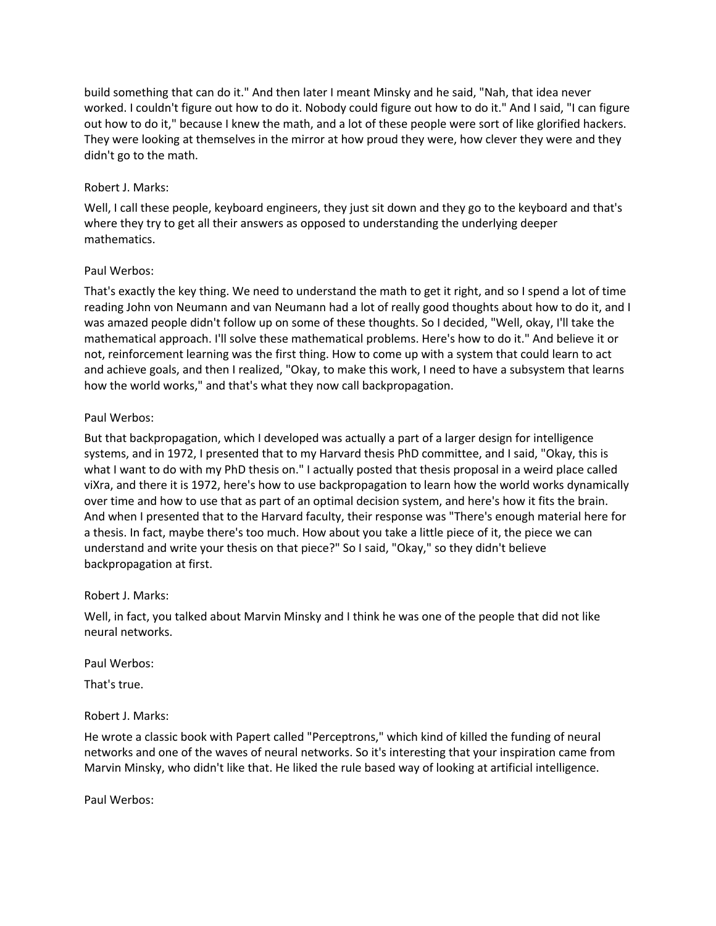build something that can do it." And then later I meant Minsky and he said, "Nah, that idea never worked. I couldn't figure out how to do it. Nobody could figure out how to do it." And I said, "I can figure out how to do it," because I knew the math, and a lot of these people were sort of like glorified hackers. They were looking at themselves in the mirror at how proud they were, how clever they were and they didn't go to the math.

## Robert J. Marks:

Well, I call these people, keyboard engineers, they just sit down and they go to the keyboard and that's where they try to get all their answers as opposed to understanding the underlying deeper mathematics.

## Paul Werbos:

That's exactly the key thing. We need to understand the math to get it right, and so I spend a lot of time reading John von Neumann and van Neumann had a lot of really good thoughts about how to do it, and I was amazed people didn't follow up on some of these thoughts. So I decided, "Well, okay, I'll take the mathematical approach. I'll solve these mathematical problems. Here's how to do it." And believe it or not, reinforcement learning was the first thing. How to come up with a system that could learn to act and achieve goals, and then I realized, "Okay, to make this work, I need to have a subsystem that learns how the world works," and that's what they now call backpropagation.

# Paul Werbos:

But that backpropagation, which I developed was actually a part of a larger design for intelligence systems, and in 1972, I presented that to my Harvard thesis PhD committee, and I said, "Okay, this is what I want to do with my PhD thesis on." I actually posted that thesis proposal in a weird place called viXra, and there it is 1972, here's how to use backpropagation to learn how the world works dynamically over time and how to use that as part of an optimal decision system, and here's how it fits the brain. And when I presented that to the Harvard faculty, their response was "There's enough material here for a thesis. In fact, maybe there's too much. How about you take a little piece of it, the piece we can understand and write your thesis on that piece?" So I said, "Okay," so they didn't believe backpropagation at first.

## Robert J. Marks:

Well, in fact, you talked about Marvin Minsky and I think he was one of the people that did not like neural networks.

Paul Werbos:

That's true.

## Robert J. Marks:

He wrote a classic book with Papert called "Perceptrons," which kind of killed the funding of neural networks and one of the waves of neural networks. So it's interesting that your inspiration came from Marvin Minsky, who didn't like that. He liked the rule based way of looking at artificial intelligence.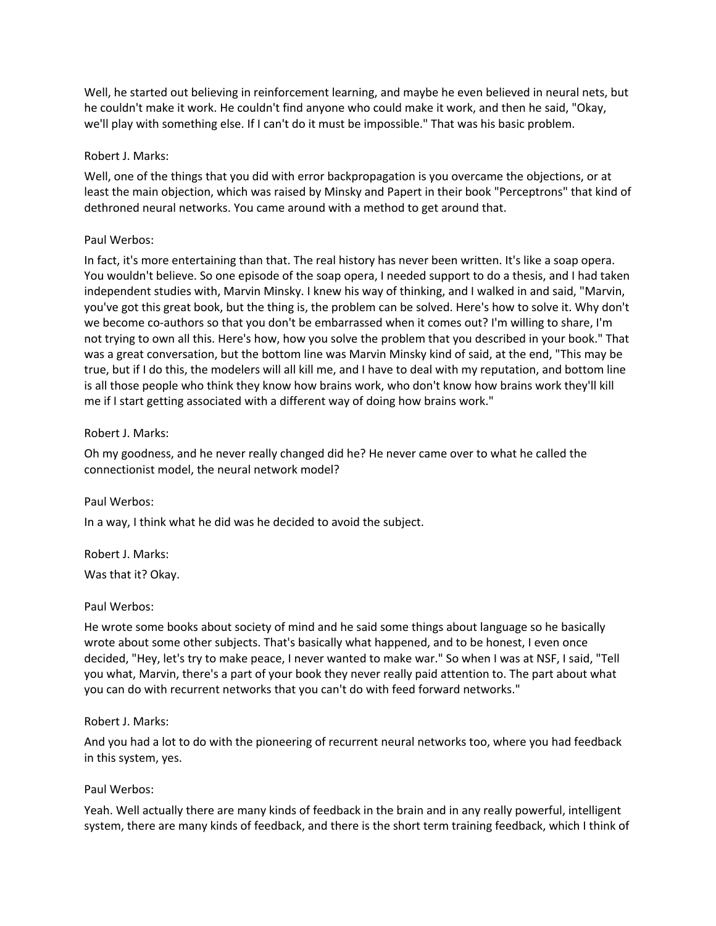Well, he started out believing in reinforcement learning, and maybe he even believed in neural nets, but he couldn't make it work. He couldn't find anyone who could make it work, and then he said, "Okay, we'll play with something else. If I can't do it must be impossible." That was his basic problem.

#### Robert J. Marks:

Well, one of the things that you did with error backpropagation is you overcame the objections, or at least the main objection, which was raised by Minsky and Papert in their book "Perceptrons" that kind of dethroned neural networks. You came around with a method to get around that.

#### Paul Werbos:

In fact, it's more entertaining than that. The real history has never been written. It's like a soap opera. You wouldn't believe. So one episode of the soap opera, I needed support to do a thesis, and I had taken independent studies with, Marvin Minsky. I knew his way of thinking, and I walked in and said, "Marvin, you've got this great book, but the thing is, the problem can be solved. Here's how to solve it. Why don't we become co-authors so that you don't be embarrassed when it comes out? I'm willing to share, I'm not trying to own all this. Here's how, how you solve the problem that you described in your book." That was a great conversation, but the bottom line was Marvin Minsky kind of said, at the end, "This may be true, but if I do this, the modelers will all kill me, and I have to deal with my reputation, and bottom line is all those people who think they know how brains work, who don't know how brains work they'll kill me if I start getting associated with a different way of doing how brains work."

#### Robert J. Marks:

Oh my goodness, and he never really changed did he? He never came over to what he called the connectionist model, the neural network model?

#### Paul Werbos:

In a way, I think what he did was he decided to avoid the subject.

Robert J. Marks:

Was that it? Okay.

#### Paul Werbos:

He wrote some books about society of mind and he said some things about language so he basically wrote about some other subjects. That's basically what happened, and to be honest, I even once decided, "Hey, let's try to make peace, I never wanted to make war." So when I was at NSF, I said, "Tell you what, Marvin, there's a part of your book they never really paid attention to. The part about what you can do with recurrent networks that you can't do with feed forward networks."

#### Robert J. Marks:

And you had a lot to do with the pioneering of recurrent neural networks too, where you had feedback in this system, yes.

#### Paul Werbos:

Yeah. Well actually there are many kinds of feedback in the brain and in any really powerful, intelligent system, there are many kinds of feedback, and there is the short term training feedback, which I think of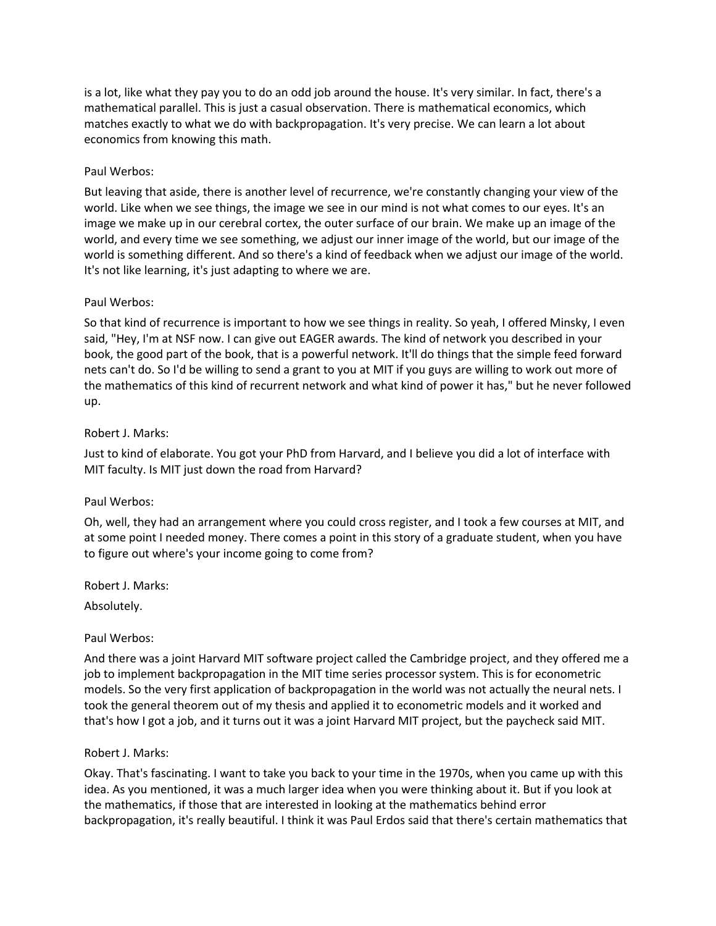is a lot, like what they pay you to do an odd job around the house. It's very similar. In fact, there's a mathematical parallel. This is just a casual observation. There is mathematical economics, which matches exactly to what we do with backpropagation. It's very precise. We can learn a lot about economics from knowing this math.

## Paul Werbos:

But leaving that aside, there is another level of recurrence, we're constantly changing your view of the world. Like when we see things, the image we see in our mind is not what comes to our eyes. It's an image we make up in our cerebral cortex, the outer surface of our brain. We make up an image of the world, and every time we see something, we adjust our inner image of the world, but our image of the world is something different. And so there's a kind of feedback when we adjust our image of the world. It's not like learning, it's just adapting to where we are.

#### Paul Werbos:

So that kind of recurrence is important to how we see things in reality. So yeah, I offered Minsky, I even said, "Hey, I'm at NSF now. I can give out EAGER awards. The kind of network you described in your book, the good part of the book, that is a powerful network. It'll do things that the simple feed forward nets can't do. So I'd be willing to send a grant to you at MIT if you guys are willing to work out more of the mathematics of this kind of recurrent network and what kind of power it has," but he never followed up.

#### Robert J. Marks:

Just to kind of elaborate. You got your PhD from Harvard, and I believe you did a lot of interface with MIT faculty. Is MIT just down the road from Harvard?

## Paul Werbos:

Oh, well, they had an arrangement where you could cross register, and I took a few courses at MIT, and at some point I needed money. There comes a point in this story of a graduate student, when you have to figure out where's your income going to come from?

Robert J. Marks:

Absolutely.

#### Paul Werbos:

And there was a joint Harvard MIT software project called the Cambridge project, and they offered me a job to implement backpropagation in the MIT time series processor system. This is for econometric models. So the very first application of backpropagation in the world was not actually the neural nets. I took the general theorem out of my thesis and applied it to econometric models and it worked and that's how I got a job, and it turns out it was a joint Harvard MIT project, but the paycheck said MIT.

#### Robert J. Marks:

Okay. That's fascinating. I want to take you back to your time in the 1970s, when you came up with this idea. As you mentioned, it was a much larger idea when you were thinking about it. But if you look at the mathematics, if those that are interested in looking at the mathematics behind error backpropagation, it's really beautiful. I think it was Paul Erdos said that there's certain mathematics that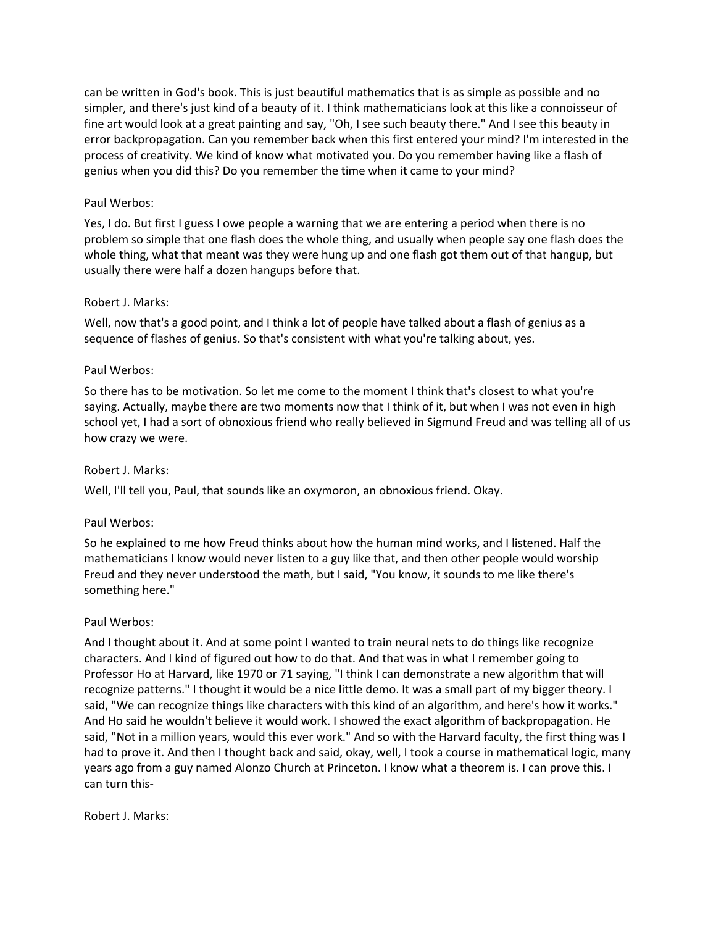can be written in God's book. This is just beautiful mathematics that is as simple as possible and no simpler, and there's just kind of a beauty of it. I think mathematicians look at this like a connoisseur of fine art would look at a great painting and say, "Oh, I see such beauty there." And I see this beauty in error backpropagation. Can you remember back when this first entered your mind? I'm interested in the process of creativity. We kind of know what motivated you. Do you remember having like a flash of genius when you did this? Do you remember the time when it came to your mind?

## Paul Werbos:

Yes, I do. But first I guess I owe people a warning that we are entering a period when there is no problem so simple that one flash does the whole thing, and usually when people say one flash does the whole thing, what that meant was they were hung up and one flash got them out of that hangup, but usually there were half a dozen hangups before that.

## Robert J. Marks:

Well, now that's a good point, and I think a lot of people have talked about a flash of genius as a sequence of flashes of genius. So that's consistent with what you're talking about, yes.

## Paul Werbos:

So there has to be motivation. So let me come to the moment I think that's closest to what you're saying. Actually, maybe there are two moments now that I think of it, but when I was not even in high school yet, I had a sort of obnoxious friend who really believed in Sigmund Freud and was telling all of us how crazy we were.

## Robert J. Marks:

Well, I'll tell you, Paul, that sounds like an oxymoron, an obnoxious friend. Okay.

## Paul Werbos:

So he explained to me how Freud thinks about how the human mind works, and I listened. Half the mathematicians I know would never listen to a guy like that, and then other people would worship Freud and they never understood the math, but I said, "You know, it sounds to me like there's something here."

## Paul Werbos:

And I thought about it. And at some point I wanted to train neural nets to do things like recognize characters. And I kind of figured out how to do that. And that was in what I remember going to Professor Ho at Harvard, like 1970 or 71 saying, "I think I can demonstrate a new algorithm that will recognize patterns." I thought it would be a nice little demo. It was a small part of my bigger theory. I said, "We can recognize things like characters with this kind of an algorithm, and here's how it works." And Ho said he wouldn't believe it would work. I showed the exact algorithm of backpropagation. He said, "Not in a million years, would this ever work." And so with the Harvard faculty, the first thing was I had to prove it. And then I thought back and said, okay, well, I took a course in mathematical logic, many years ago from a guy named Alonzo Church at Princeton. I know what a theorem is. I can prove this. I can turn this-

Robert J. Marks: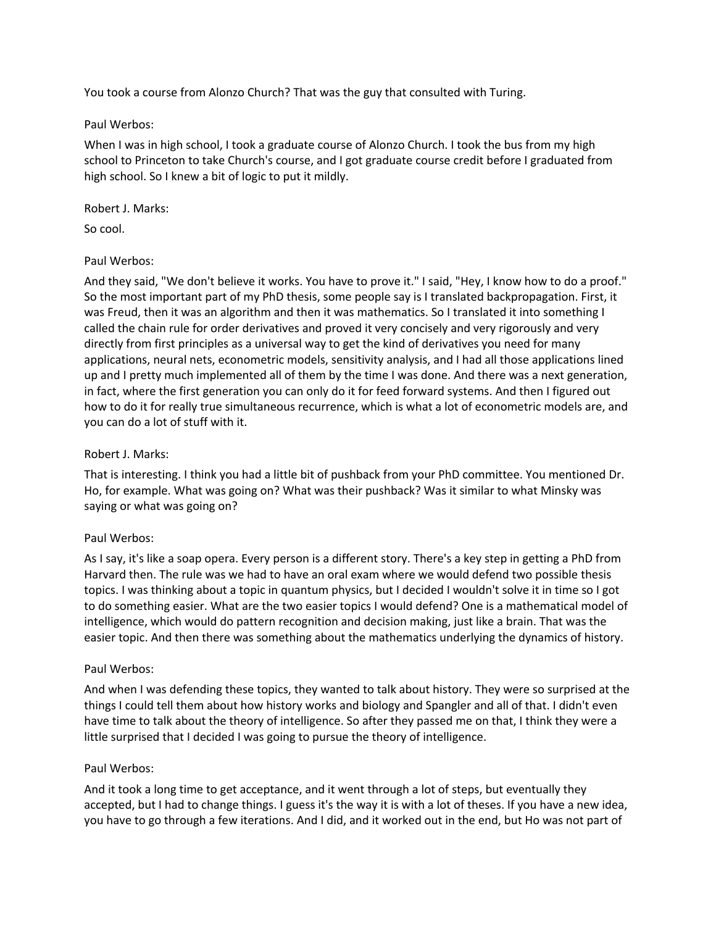You took a course from Alonzo Church? That was the guy that consulted with Turing.

## Paul Werbos:

When I was in high school, I took a graduate course of Alonzo Church. I took the bus from my high school to Princeton to take Church's course, and I got graduate course credit before I graduated from high school. So I knew a bit of logic to put it mildly.

# Robert J. Marks:

So cool.

# Paul Werbos:

And they said, "We don't believe it works. You have to prove it." I said, "Hey, I know how to do a proof." So the most important part of my PhD thesis, some people say is I translated backpropagation. First, it was Freud, then it was an algorithm and then it was mathematics. So I translated it into something I called the chain rule for order derivatives and proved it very concisely and very rigorously and very directly from first principles as a universal way to get the kind of derivatives you need for many applications, neural nets, econometric models, sensitivity analysis, and I had all those applications lined up and I pretty much implemented all of them by the time I was done. And there was a next generation, in fact, where the first generation you can only do it for feed forward systems. And then I figured out how to do it for really true simultaneous recurrence, which is what a lot of econometric models are, and you can do a lot of stuff with it.

# Robert J. Marks:

That is interesting. I think you had a little bit of pushback from your PhD committee. You mentioned Dr. Ho, for example. What was going on? What was their pushback? Was it similar to what Minsky was saying or what was going on?

# Paul Werbos:

As I say, it's like a soap opera. Every person is a different story. There's a key step in getting a PhD from Harvard then. The rule was we had to have an oral exam where we would defend two possible thesis topics. I was thinking about a topic in quantum physics, but I decided I wouldn't solve it in time so I got to do something easier. What are the two easier topics I would defend? One is a mathematical model of intelligence, which would do pattern recognition and decision making, just like a brain. That was the easier topic. And then there was something about the mathematics underlying the dynamics of history.

## Paul Werbos:

And when I was defending these topics, they wanted to talk about history. They were so surprised at the things I could tell them about how history works and biology and Spangler and all of that. I didn't even have time to talk about the theory of intelligence. So after they passed me on that, I think they were a little surprised that I decided I was going to pursue the theory of intelligence.

## Paul Werbos:

And it took a long time to get acceptance, and it went through a lot of steps, but eventually they accepted, but I had to change things. I guess it's the way it is with a lot of theses. If you have a new idea, you have to go through a few iterations. And I did, and it worked out in the end, but Ho was not part of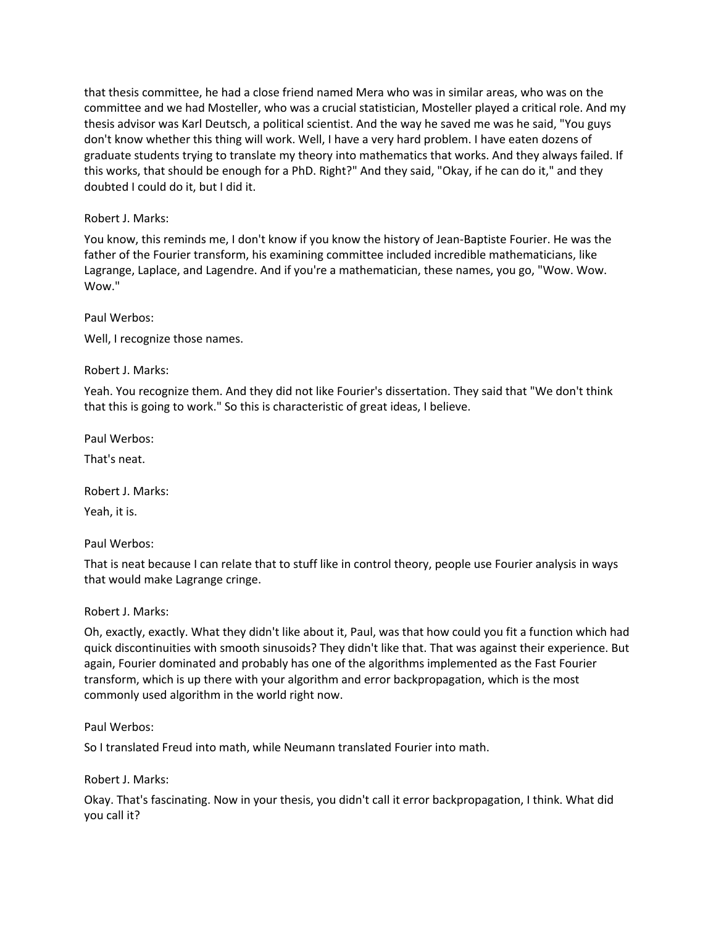that thesis committee, he had a close friend named Mera who was in similar areas, who was on the committee and we had Mosteller, who was a crucial statistician, Mosteller played a critical role. And my thesis advisor was Karl Deutsch, a political scientist. And the way he saved me was he said, "You guys don't know whether this thing will work. Well, I have a very hard problem. I have eaten dozens of graduate students trying to translate my theory into mathematics that works. And they always failed. If this works, that should be enough for a PhD. Right?" And they said, "Okay, if he can do it," and they doubted I could do it, but I did it.

## Robert J. Marks:

You know, this reminds me, I don't know if you know the history of Jean-Baptiste Fourier. He was the father of the Fourier transform, his examining committee included incredible mathematicians, like Lagrange, Laplace, and Lagendre. And if you're a mathematician, these names, you go, "Wow. Wow. Wow."

Paul Werbos:

Well, I recognize those names.

Robert J. Marks:

Yeah. You recognize them. And they did not like Fourier's dissertation. They said that "We don't think that this is going to work." So this is characteristic of great ideas, I believe.

Paul Werbos:

That's neat.

Robert J. Marks:

Yeah, it is.

Paul Werbos:

That is neat because I can relate that to stuff like in control theory, people use Fourier analysis in ways that would make Lagrange cringe.

Robert J. Marks:

Oh, exactly, exactly. What they didn't like about it, Paul, was that how could you fit a function which had quick discontinuities with smooth sinusoids? They didn't like that. That was against their experience. But again, Fourier dominated and probably has one of the algorithms implemented as the Fast Fourier transform, which is up there with your algorithm and error backpropagation, which is the most commonly used algorithm in the world right now.

Paul Werbos:

So I translated Freud into math, while Neumann translated Fourier into math.

Robert J. Marks:

Okay. That's fascinating. Now in your thesis, you didn't call it error backpropagation, I think. What did you call it?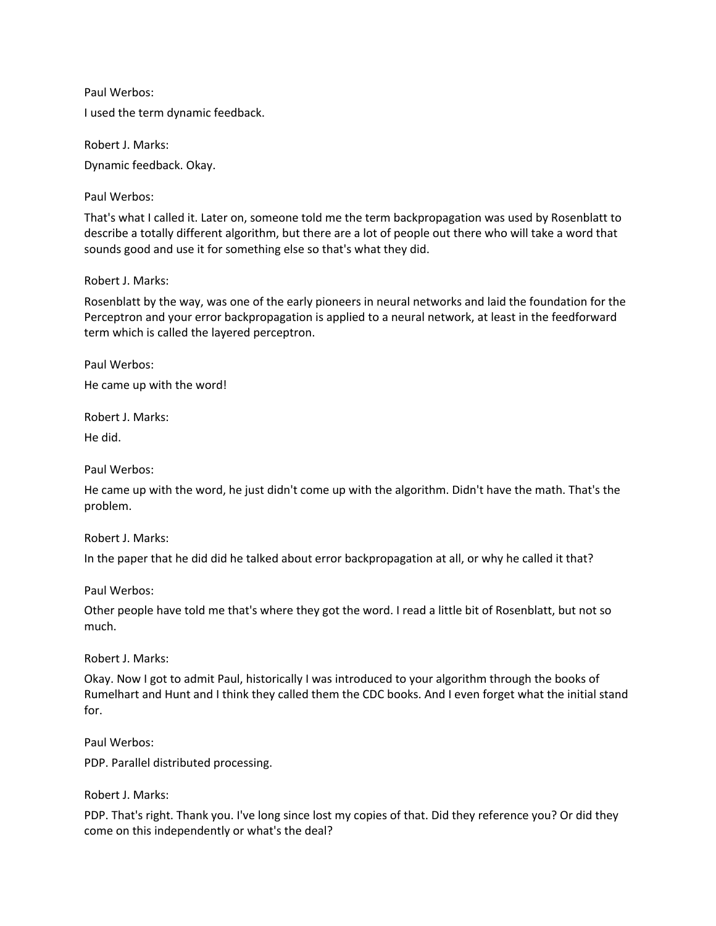Paul Werbos: I used the term dynamic feedback.

Robert J. Marks: Dynamic feedback. Okay.

Paul Werbos:

That's what I called it. Later on, someone told me the term backpropagation was used by Rosenblatt to describe a totally different algorithm, but there are a lot of people out there who will take a word that sounds good and use it for something else so that's what they did.

Robert J. Marks:

Rosenblatt by the way, was one of the early pioneers in neural networks and laid the foundation for the Perceptron and your error backpropagation is applied to a neural network, at least in the feedforward term which is called the layered perceptron.

Paul Werbos:

He came up with the word!

Robert J. Marks:

He did.

Paul Werbos:

He came up with the word, he just didn't come up with the algorithm. Didn't have the math. That's the problem.

Robert J. Marks:

In the paper that he did did he talked about error backpropagation at all, or why he called it that?

Paul Werbos:

Other people have told me that's where they got the word. I read a little bit of Rosenblatt, but not so much.

Robert J. Marks:

Okay. Now I got to admit Paul, historically I was introduced to your algorithm through the books of Rumelhart and Hunt and I think they called them the CDC books. And I even forget what the initial stand for.

Paul Werbos:

PDP. Parallel distributed processing.

Robert J. Marks:

PDP. That's right. Thank you. I've long since lost my copies of that. Did they reference you? Or did they come on this independently or what's the deal?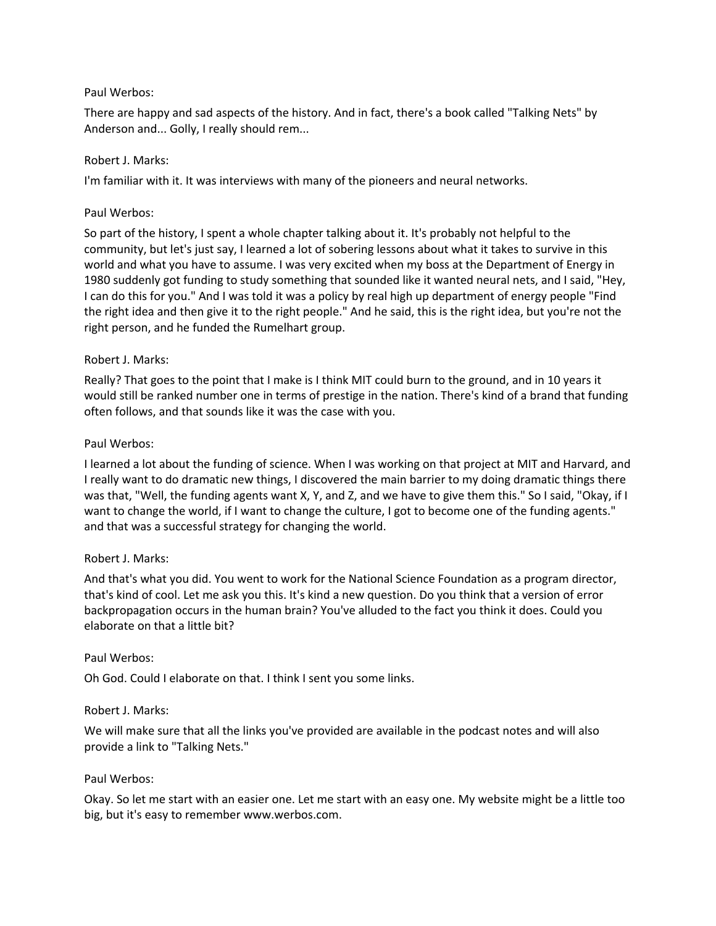## Paul Werbos:

There are happy and sad aspects of the history. And in fact, there's a book called "Talking Nets" by Anderson and... Golly, I really should rem...

## Robert J. Marks:

I'm familiar with it. It was interviews with many of the pioneers and neural networks.

## Paul Werbos:

So part of the history, I spent a whole chapter talking about it. It's probably not helpful to the community, but let's just say, I learned a lot of sobering lessons about what it takes to survive in this world and what you have to assume. I was very excited when my boss at the Department of Energy in 1980 suddenly got funding to study something that sounded like it wanted neural nets, and I said, "Hey, I can do this for you." And I was told it was a policy by real high up department of energy people "Find the right idea and then give it to the right people." And he said, this is the right idea, but you're not the right person, and he funded the Rumelhart group.

# Robert J. Marks:

Really? That goes to the point that I make is I think MIT could burn to the ground, and in 10 years it would still be ranked number one in terms of prestige in the nation. There's kind of a brand that funding often follows, and that sounds like it was the case with you.

## Paul Werbos:

I learned a lot about the funding of science. When I was working on that project at MIT and Harvard, and I really want to do dramatic new things, I discovered the main barrier to my doing dramatic things there was that, "Well, the funding agents want X, Y, and Z, and we have to give them this." So I said, "Okay, if I want to change the world, if I want to change the culture, I got to become one of the funding agents." and that was a successful strategy for changing the world.

# Robert J. Marks:

And that's what you did. You went to work for the National Science Foundation as a program director, that's kind of cool. Let me ask you this. It's kind a new question. Do you think that a version of error backpropagation occurs in the human brain? You've alluded to the fact you think it does. Could you elaborate on that a little bit?

## Paul Werbos:

Oh God. Could I elaborate on that. I think I sent you some links.

## Robert J. Marks:

We will make sure that all the links you've provided are available in the podcast notes and will also provide a link to "Talking Nets."

## Paul Werbos:

Okay. So let me start with an easier one. Let me start with an easy one. My website might be a little too big, but it's easy to remember www.werbos.com.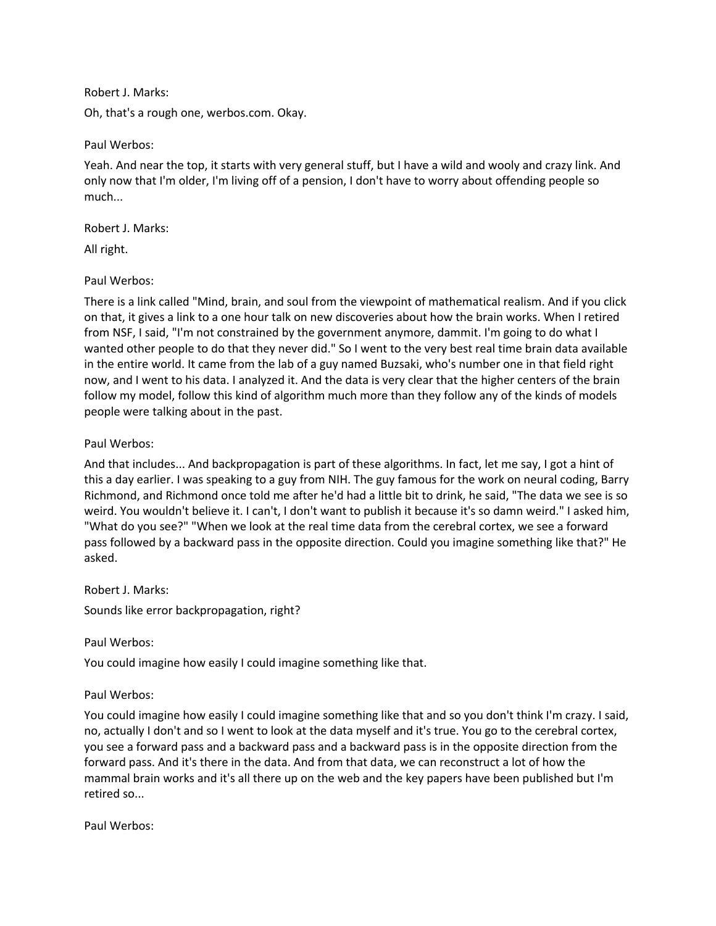Robert J. Marks:

Oh, that's a rough one, werbos.com. Okay.

Paul Werbos:

Yeah. And near the top, it starts with very general stuff, but I have a wild and wooly and crazy link. And only now that I'm older, I'm living off of a pension, I don't have to worry about offending people so much...

Robert J. Marks:

All right.

Paul Werbos:

There is a link called "Mind, brain, and soul from the viewpoint of mathematical realism. And if you click on that, it gives a link to a one hour talk on new discoveries about how the brain works. When I retired from NSF, I said, "I'm not constrained by the government anymore, dammit. I'm going to do what I wanted other people to do that they never did." So I went to the very best real time brain data available in the entire world. It came from the lab of a guy named Buzsaki, who's number one in that field right now, and I went to his data. I analyzed it. And the data is very clear that the higher centers of the brain follow my model, follow this kind of algorithm much more than they follow any of the kinds of models people were talking about in the past.

Paul Werbos:

And that includes... And backpropagation is part of these algorithms. In fact, let me say, I got a hint of this a day earlier. I was speaking to a guy from NIH. The guy famous for the work on neural coding, Barry Richmond, and Richmond once told me after he'd had a little bit to drink, he said, "The data we see is so weird. You wouldn't believe it. I can't, I don't want to publish it because it's so damn weird." I asked him, "What do you see?" "When we look at the real time data from the cerebral cortex, we see a forward pass followed by a backward pass in the opposite direction. Could you imagine something like that?" He asked.

Robert J. Marks:

Sounds like error backpropagation, right?

Paul Werbos:

You could imagine how easily I could imagine something like that.

Paul Werbos:

You could imagine how easily I could imagine something like that and so you don't think I'm crazy. I said, no, actually I don't and so I went to look at the data myself and it's true. You go to the cerebral cortex, you see a forward pass and a backward pass and a backward pass is in the opposite direction from the forward pass. And it's there in the data. And from that data, we can reconstruct a lot of how the mammal brain works and it's all there up on the web and the key papers have been published but I'm retired so...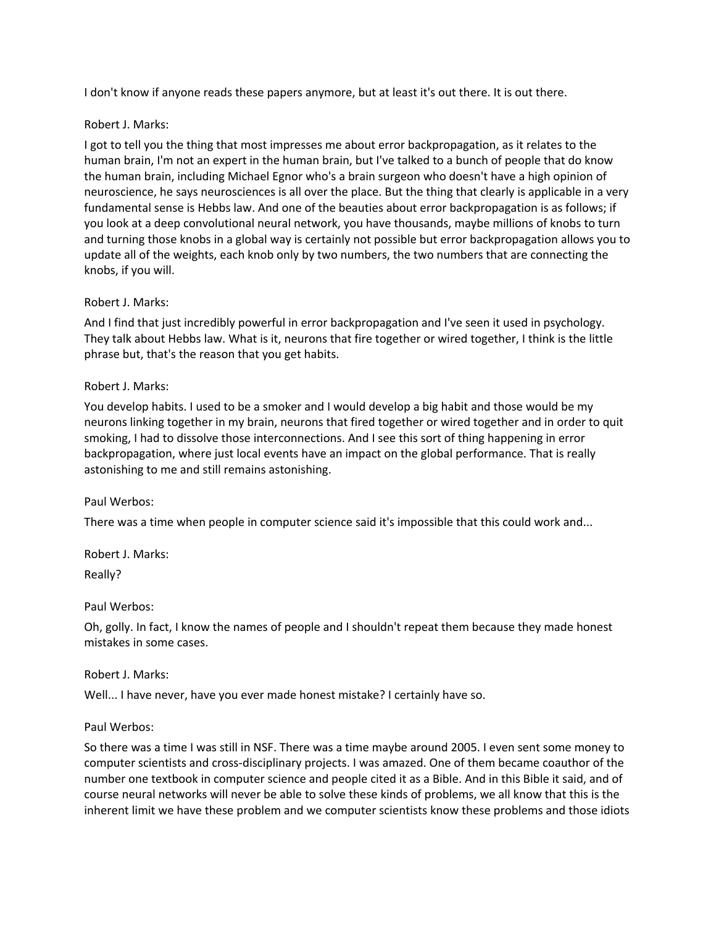I don't know if anyone reads these papers anymore, but at least it's out there. It is out there.

# Robert J. Marks:

I got to tell you the thing that most impresses me about error backpropagation, as it relates to the human brain, I'm not an expert in the human brain, but I've talked to a bunch of people that do know the human brain, including Michael Egnor who's a brain surgeon who doesn't have a high opinion of neuroscience, he says neurosciences is all over the place. But the thing that clearly is applicable in a very fundamental sense is Hebbs law. And one of the beauties about error backpropagation is as follows; if you look at a deep convolutional neural network, you have thousands, maybe millions of knobs to turn and turning those knobs in a global way is certainly not possible but error backpropagation allows you to update all of the weights, each knob only by two numbers, the two numbers that are connecting the knobs, if you will.

# Robert J. Marks:

And I find that just incredibly powerful in error backpropagation and I've seen it used in psychology. They talk about Hebbs law. What is it, neurons that fire together or wired together, I think is the little phrase but, that's the reason that you get habits.

# Robert J. Marks:

You develop habits. I used to be a smoker and I would develop a big habit and those would be my neurons linking together in my brain, neurons that fired together or wired together and in order to quit smoking, I had to dissolve those interconnections. And I see this sort of thing happening in error backpropagation, where just local events have an impact on the global performance. That is really astonishing to me and still remains astonishing.

## Paul Werbos:

There was a time when people in computer science said it's impossible that this could work and...

Robert J. Marks:

Really?

## Paul Werbos:

Oh, golly. In fact, I know the names of people and I shouldn't repeat them because they made honest mistakes in some cases.

## Robert J. Marks:

Well... I have never, have you ever made honest mistake? I certainly have so.

## Paul Werbos:

So there was a time I was still in NSF. There was a time maybe around 2005. I even sent some money to computer scientists and cross-disciplinary projects. I was amazed. One of them became coauthor of the number one textbook in computer science and people cited it as a Bible. And in this Bible it said, and of course neural networks will never be able to solve these kinds of problems, we all know that this is the inherent limit we have these problem and we computer scientists know these problems and those idiots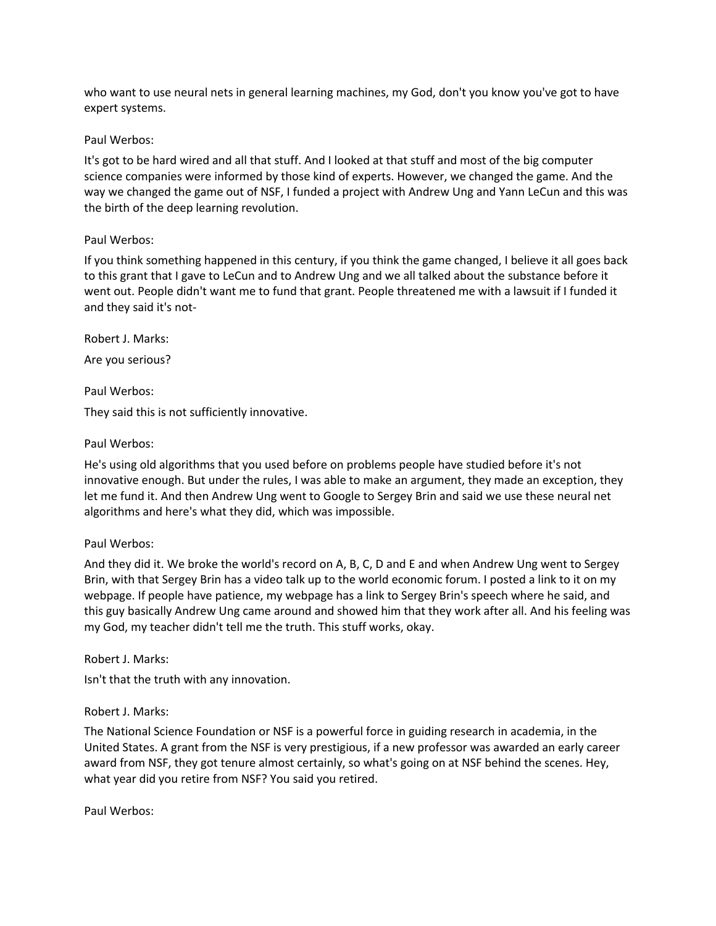who want to use neural nets in general learning machines, my God, don't you know you've got to have expert systems.

#### Paul Werbos:

It's got to be hard wired and all that stuff. And I looked at that stuff and most of the big computer science companies were informed by those kind of experts. However, we changed the game. And the way we changed the game out of NSF, I funded a project with Andrew Ung and Yann LeCun and this was the birth of the deep learning revolution.

## Paul Werbos:

If you think something happened in this century, if you think the game changed, I believe it all goes back to this grant that I gave to LeCun and to Andrew Ung and we all talked about the substance before it went out. People didn't want me to fund that grant. People threatened me with a lawsuit if I funded it and they said it's not-

Robert J. Marks: Are you serious?

Paul Werbos:

They said this is not sufficiently innovative.

#### Paul Werbos:

He's using old algorithms that you used before on problems people have studied before it's not innovative enough. But under the rules, I was able to make an argument, they made an exception, they let me fund it. And then Andrew Ung went to Google to Sergey Brin and said we use these neural net algorithms and here's what they did, which was impossible.

#### Paul Werbos:

And they did it. We broke the world's record on A, B, C, D and E and when Andrew Ung went to Sergey Brin, with that Sergey Brin has a video talk up to the world economic forum. I posted a link to it on my webpage. If people have patience, my webpage has a link to Sergey Brin's speech where he said, and this guy basically Andrew Ung came around and showed him that they work after all. And his feeling was my God, my teacher didn't tell me the truth. This stuff works, okay.

Robert J. Marks:

Isn't that the truth with any innovation.

## Robert J. Marks:

The National Science Foundation or NSF is a powerful force in guiding research in academia, in the United States. A grant from the NSF is very prestigious, if a new professor was awarded an early career award from NSF, they got tenure almost certainly, so what's going on at NSF behind the scenes. Hey, what year did you retire from NSF? You said you retired.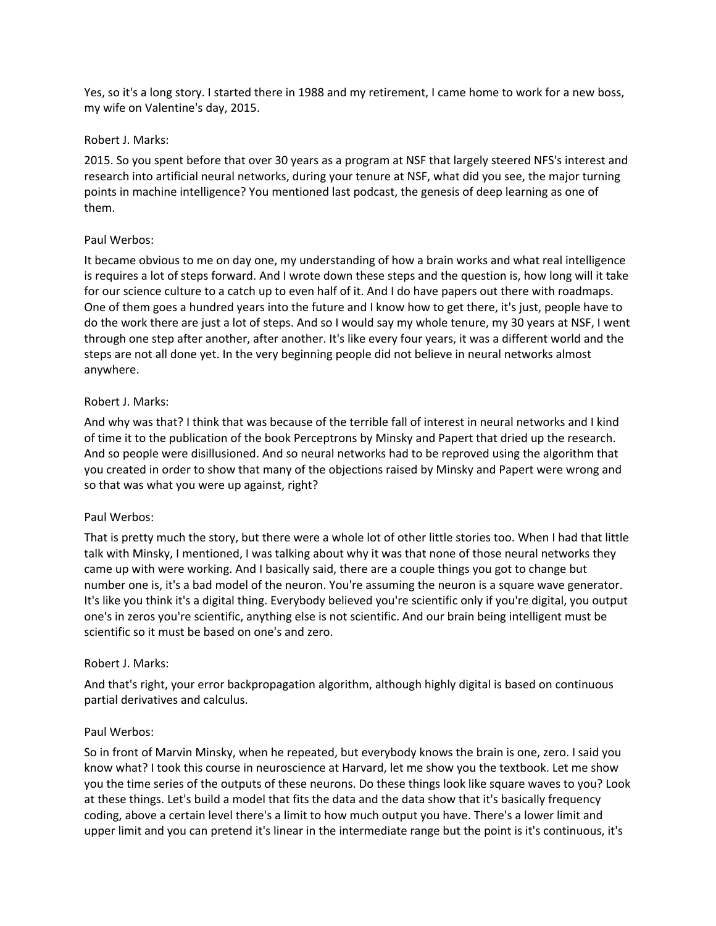Yes, so it's a long story. I started there in 1988 and my retirement, I came home to work for a new boss, my wife on Valentine's day, 2015.

#### Robert J. Marks:

2015. So you spent before that over 30 years as a program at NSF that largely steered NFS's interest and research into artificial neural networks, during your tenure at NSF, what did you see, the major turning points in machine intelligence? You mentioned last podcast, the genesis of deep learning as one of them.

## Paul Werbos:

It became obvious to me on day one, my understanding of how a brain works and what real intelligence is requires a lot of steps forward. And I wrote down these steps and the question is, how long will it take for our science culture to a catch up to even half of it. And I do have papers out there with roadmaps. One of them goes a hundred years into the future and I know how to get there, it's just, people have to do the work there are just a lot of steps. And so I would say my whole tenure, my 30 years at NSF, I went through one step after another, after another. It's like every four years, it was a different world and the steps are not all done yet. In the very beginning people did not believe in neural networks almost anywhere.

#### Robert J. Marks:

And why was that? I think that was because of the terrible fall of interest in neural networks and I kind of time it to the publication of the book Perceptrons by Minsky and Papert that dried up the research. And so people were disillusioned. And so neural networks had to be reproved using the algorithm that you created in order to show that many of the objections raised by Minsky and Papert were wrong and so that was what you were up against, right?

## Paul Werbos:

That is pretty much the story, but there were a whole lot of other little stories too. When I had that little talk with Minsky, I mentioned, I was talking about why it was that none of those neural networks they came up with were working. And I basically said, there are a couple things you got to change but number one is, it's a bad model of the neuron. You're assuming the neuron is a square wave generator. It's like you think it's a digital thing. Everybody believed you're scientific only if you're digital, you output one's in zeros you're scientific, anything else is not scientific. And our brain being intelligent must be scientific so it must be based on one's and zero.

#### Robert J. Marks:

And that's right, your error backpropagation algorithm, although highly digital is based on continuous partial derivatives and calculus.

#### Paul Werbos:

So in front of Marvin Minsky, when he repeated, but everybody knows the brain is one, zero. I said you know what? I took this course in neuroscience at Harvard, let me show you the textbook. Let me show you the time series of the outputs of these neurons. Do these things look like square waves to you? Look at these things. Let's build a model that fits the data and the data show that it's basically frequency coding, above a certain level there's a limit to how much output you have. There's a lower limit and upper limit and you can pretend it's linear in the intermediate range but the point is it's continuous, it's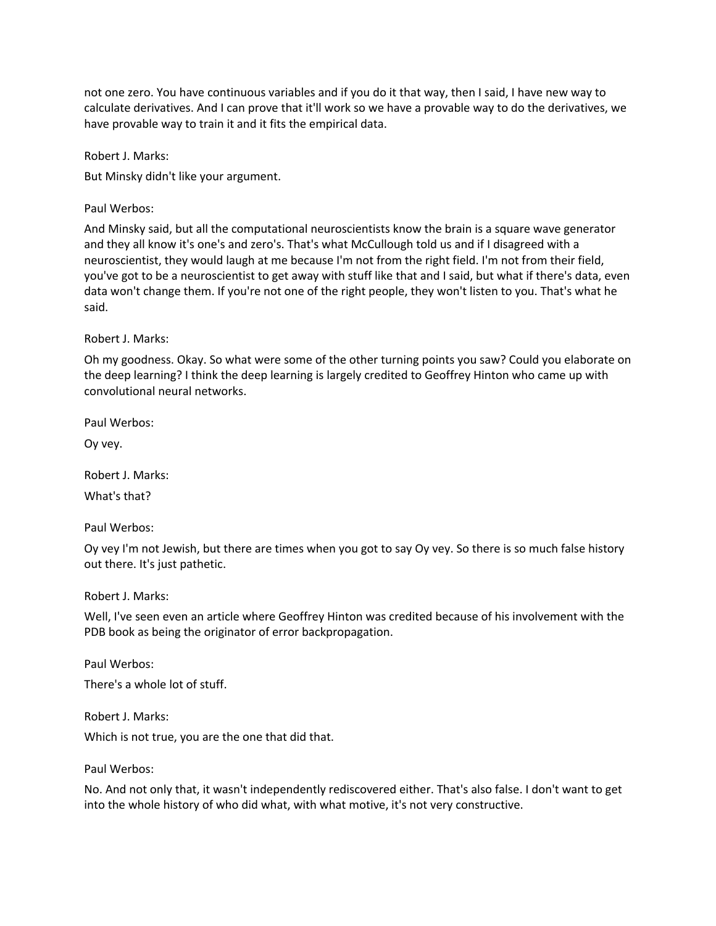not one zero. You have continuous variables and if you do it that way, then I said, I have new way to calculate derivatives. And I can prove that it'll work so we have a provable way to do the derivatives, we have provable way to train it and it fits the empirical data.

Robert J. Marks:

But Minsky didn't like your argument.

Paul Werbos:

And Minsky said, but all the computational neuroscientists know the brain is a square wave generator and they all know it's one's and zero's. That's what McCullough told us and if I disagreed with a neuroscientist, they would laugh at me because I'm not from the right field. I'm not from their field, you've got to be a neuroscientist to get away with stuff like that and I said, but what if there's data, even data won't change them. If you're not one of the right people, they won't listen to you. That's what he said.

Robert J. Marks:

Oh my goodness. Okay. So what were some of the other turning points you saw? Could you elaborate on the deep learning? I think the deep learning is largely credited to Geoffrey Hinton who came up with convolutional neural networks.

Paul Werbos:

Oy vey.

Robert J. Marks: What's that?

Paul Werbos:

Oy vey I'm not Jewish, but there are times when you got to say Oy vey. So there is so much false history out there. It's just pathetic.

Robert J. Marks:

Well, I've seen even an article where Geoffrey Hinton was credited because of his involvement with the PDB book as being the originator of error backpropagation.

Paul Werbos:

There's a whole lot of stuff.

Robert J. Marks: Which is not true, you are the one that did that.

Paul Werbos:

No. And not only that, it wasn't independently rediscovered either. That's also false. I don't want to get into the whole history of who did what, with what motive, it's not very constructive.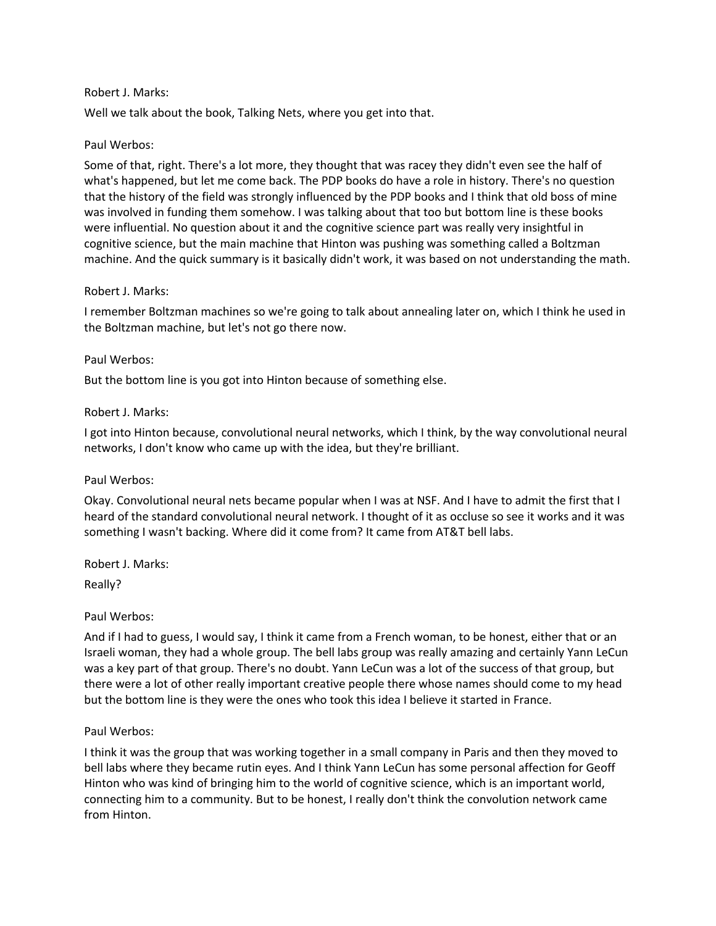#### Robert J. Marks:

Well we talk about the book, Talking Nets, where you get into that.

#### Paul Werbos:

Some of that, right. There's a lot more, they thought that was racey they didn't even see the half of what's happened, but let me come back. The PDP books do have a role in history. There's no question that the history of the field was strongly influenced by the PDP books and I think that old boss of mine was involved in funding them somehow. I was talking about that too but bottom line is these books were influential. No question about it and the cognitive science part was really very insightful in cognitive science, but the main machine that Hinton was pushing was something called a Boltzman machine. And the quick summary is it basically didn't work, it was based on not understanding the math.

#### Robert J. Marks:

I remember Boltzman machines so we're going to talk about annealing later on, which I think he used in the Boltzman machine, but let's not go there now.

#### Paul Werbos:

But the bottom line is you got into Hinton because of something else.

#### Robert J. Marks:

I got into Hinton because, convolutional neural networks, which I think, by the way convolutional neural networks, I don't know who came up with the idea, but they're brilliant.

#### Paul Werbos:

Okay. Convolutional neural nets became popular when I was at NSF. And I have to admit the first that I heard of the standard convolutional neural network. I thought of it as occluse so see it works and it was something I wasn't backing. Where did it come from? It came from AT&T bell labs.

Robert J. Marks:

Really?

#### Paul Werbos:

And if I had to guess, I would say, I think it came from a French woman, to be honest, either that or an Israeli woman, they had a whole group. The bell labs group was really amazing and certainly Yann LeCun was a key part of that group. There's no doubt. Yann LeCun was a lot of the success of that group, but there were a lot of other really important creative people there whose names should come to my head but the bottom line is they were the ones who took this idea I believe it started in France.

#### Paul Werbos:

I think it was the group that was working together in a small company in Paris and then they moved to bell labs where they became rutin eyes. And I think Yann LeCun has some personal affection for Geoff Hinton who was kind of bringing him to the world of cognitive science, which is an important world, connecting him to a community. But to be honest, I really don't think the convolution network came from Hinton.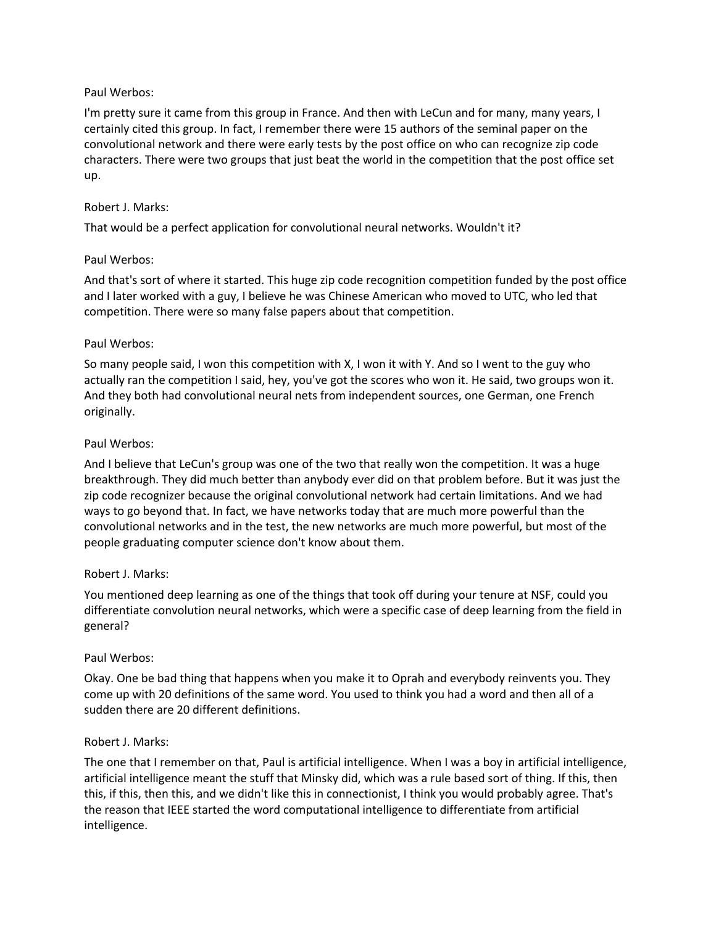## Paul Werbos:

I'm pretty sure it came from this group in France. And then with LeCun and for many, many years, I certainly cited this group. In fact, I remember there were 15 authors of the seminal paper on the convolutional network and there were early tests by the post office on who can recognize zip code characters. There were two groups that just beat the world in the competition that the post office set up.

## Robert J. Marks:

That would be a perfect application for convolutional neural networks. Wouldn't it?

# Paul Werbos:

And that's sort of where it started. This huge zip code recognition competition funded by the post office and I later worked with a guy, I believe he was Chinese American who moved to UTC, who led that competition. There were so many false papers about that competition.

# Paul Werbos:

So many people said, I won this competition with X, I won it with Y. And so I went to the guy who actually ran the competition I said, hey, you've got the scores who won it. He said, two groups won it. And they both had convolutional neural nets from independent sources, one German, one French originally.

# Paul Werbos:

And I believe that LeCun's group was one of the two that really won the competition. It was a huge breakthrough. They did much better than anybody ever did on that problem before. But it was just the zip code recognizer because the original convolutional network had certain limitations. And we had ways to go beyond that. In fact, we have networks today that are much more powerful than the convolutional networks and in the test, the new networks are much more powerful, but most of the people graduating computer science don't know about them.

## Robert J. Marks:

You mentioned deep learning as one of the things that took off during your tenure at NSF, could you differentiate convolution neural networks, which were a specific case of deep learning from the field in general?

## Paul Werbos:

Okay. One be bad thing that happens when you make it to Oprah and everybody reinvents you. They come up with 20 definitions of the same word. You used to think you had a word and then all of a sudden there are 20 different definitions.

## Robert J. Marks:

The one that I remember on that, Paul is artificial intelligence. When I was a boy in artificial intelligence, artificial intelligence meant the stuff that Minsky did, which was a rule based sort of thing. If this, then this, if this, then this, and we didn't like this in connectionist, I think you would probably agree. That's the reason that IEEE started the word computational intelligence to differentiate from artificial intelligence.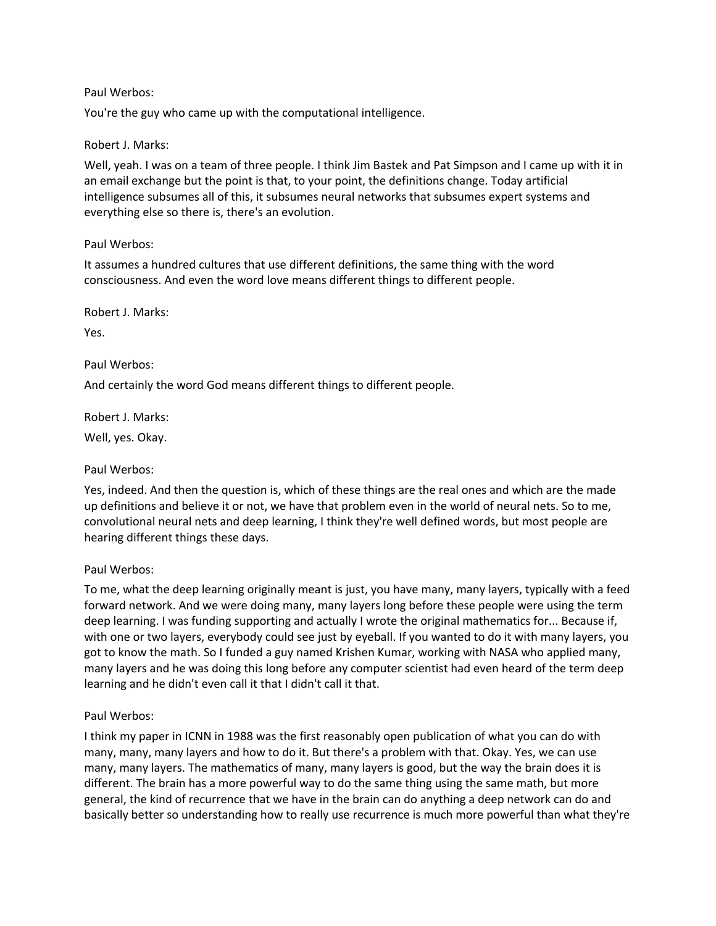## Paul Werbos:

You're the guy who came up with the computational intelligence.

## Robert J. Marks:

Well, yeah. I was on a team of three people. I think Jim Bastek and Pat Simpson and I came up with it in an email exchange but the point is that, to your point, the definitions change. Today artificial intelligence subsumes all of this, it subsumes neural networks that subsumes expert systems and everything else so there is, there's an evolution.

# Paul Werbos:

It assumes a hundred cultures that use different definitions, the same thing with the word consciousness. And even the word love means different things to different people.

Robert J. Marks:

Yes.

Paul Werbos:

And certainly the word God means different things to different people.

Robert J. Marks: Well, yes. Okay.

# Paul Werbos:

Yes, indeed. And then the question is, which of these things are the real ones and which are the made up definitions and believe it or not, we have that problem even in the world of neural nets. So to me, convolutional neural nets and deep learning, I think they're well defined words, but most people are hearing different things these days.

## Paul Werbos:

To me, what the deep learning originally meant is just, you have many, many layers, typically with a feed forward network. And we were doing many, many layers long before these people were using the term deep learning. I was funding supporting and actually I wrote the original mathematics for... Because if, with one or two layers, everybody could see just by eyeball. If you wanted to do it with many layers, you got to know the math. So I funded a guy named Krishen Kumar, working with NASA who applied many, many layers and he was doing this long before any computer scientist had even heard of the term deep learning and he didn't even call it that I didn't call it that.

## Paul Werbos:

I think my paper in ICNN in 1988 was the first reasonably open publication of what you can do with many, many, many layers and how to do it. But there's a problem with that. Okay. Yes, we can use many, many layers. The mathematics of many, many layers is good, but the way the brain does it is different. The brain has a more powerful way to do the same thing using the same math, but more general, the kind of recurrence that we have in the brain can do anything a deep network can do and basically better so understanding how to really use recurrence is much more powerful than what they're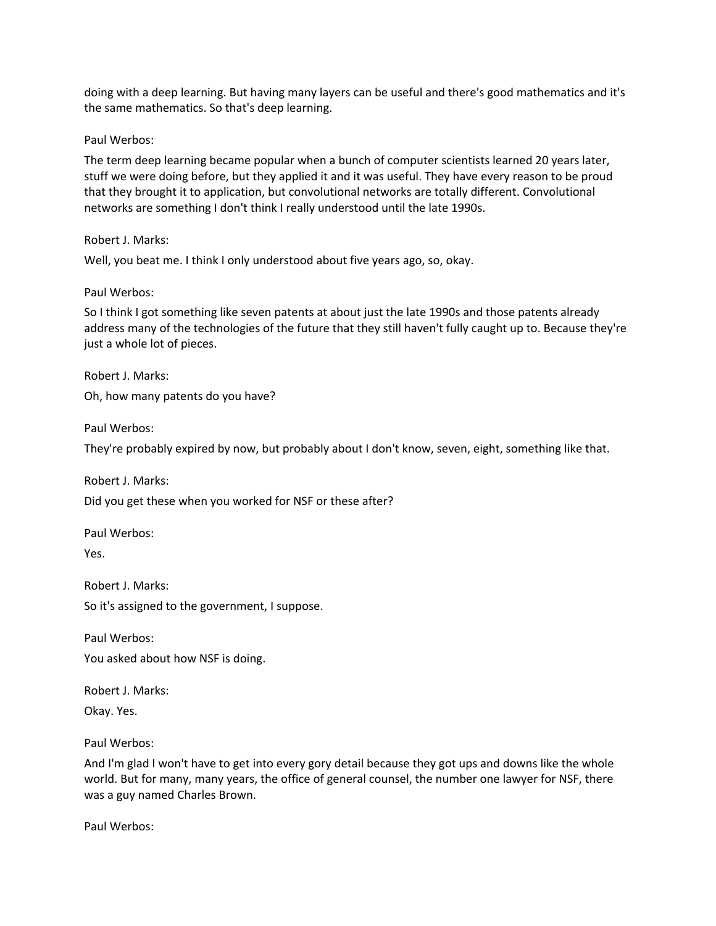doing with a deep learning. But having many layers can be useful and there's good mathematics and it's the same mathematics. So that's deep learning.

#### Paul Werbos:

The term deep learning became popular when a bunch of computer scientists learned 20 years later, stuff we were doing before, but they applied it and it was useful. They have every reason to be proud that they brought it to application, but convolutional networks are totally different. Convolutional networks are something I don't think I really understood until the late 1990s.

#### Robert J. Marks:

Well, you beat me. I think I only understood about five years ago, so, okay.

#### Paul Werbos:

So I think I got something like seven patents at about just the late 1990s and those patents already address many of the technologies of the future that they still haven't fully caught up to. Because they're just a whole lot of pieces.

Robert J. Marks: Oh, how many patents do you have?

Paul Werbos:

They're probably expired by now, but probably about I don't know, seven, eight, something like that.

Robert J. Marks:

Did you get these when you worked for NSF or these after?

Paul Werbos:

Yes.

Robert J. Marks: So it's assigned to the government, I suppose.

Paul Werbos:

You asked about how NSF is doing.

Robert J. Marks:

Okay. Yes.

Paul Werbos:

And I'm glad I won't have to get into every gory detail because they got ups and downs like the whole world. But for many, many years, the office of general counsel, the number one lawyer for NSF, there was a guy named Charles Brown.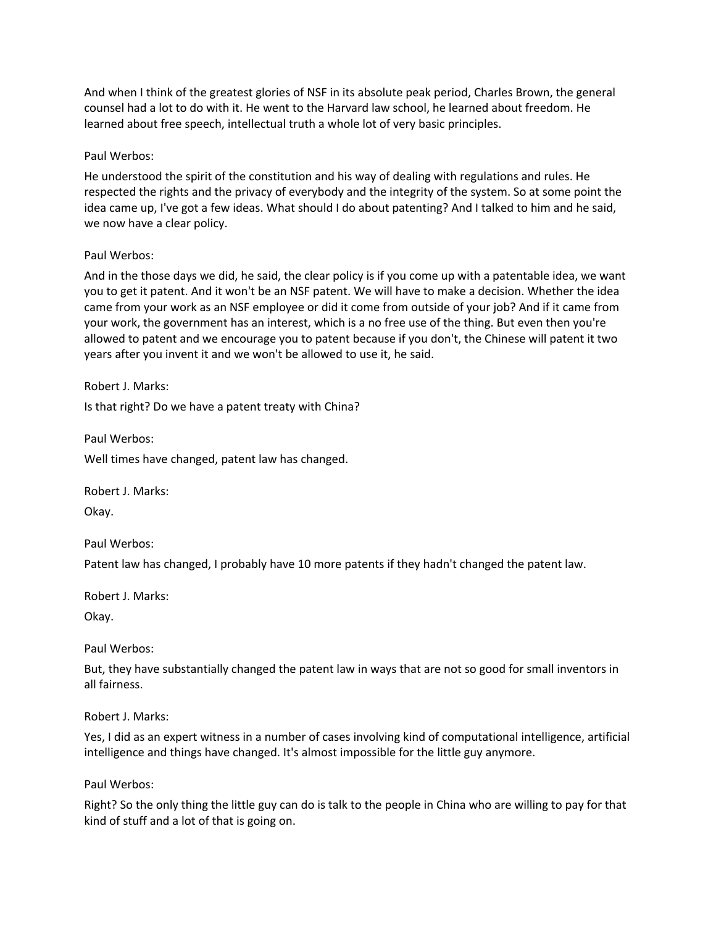And when I think of the greatest glories of NSF in its absolute peak period, Charles Brown, the general counsel had a lot to do with it. He went to the Harvard law school, he learned about freedom. He learned about free speech, intellectual truth a whole lot of very basic principles.

#### Paul Werbos:

He understood the spirit of the constitution and his way of dealing with regulations and rules. He respected the rights and the privacy of everybody and the integrity of the system. So at some point the idea came up, I've got a few ideas. What should I do about patenting? And I talked to him and he said, we now have a clear policy.

#### Paul Werbos:

And in the those days we did, he said, the clear policy is if you come up with a patentable idea, we want you to get it patent. And it won't be an NSF patent. We will have to make a decision. Whether the idea came from your work as an NSF employee or did it come from outside of your job? And if it came from your work, the government has an interest, which is a no free use of the thing. But even then you're allowed to patent and we encourage you to patent because if you don't, the Chinese will patent it two years after you invent it and we won't be allowed to use it, he said.

Robert J. Marks:

Is that right? Do we have a patent treaty with China?

Paul Werbos:

Well times have changed, patent law has changed.

Robert J. Marks: Okay.

Paul Werbos:

Patent law has changed, I probably have 10 more patents if they hadn't changed the patent law.

Robert J. Marks:

Okay.

Paul Werbos:

But, they have substantially changed the patent law in ways that are not so good for small inventors in all fairness.

Robert J. Marks:

Yes, I did as an expert witness in a number of cases involving kind of computational intelligence, artificial intelligence and things have changed. It's almost impossible for the little guy anymore.

Paul Werbos:

Right? So the only thing the little guy can do is talk to the people in China who are willing to pay for that kind of stuff and a lot of that is going on.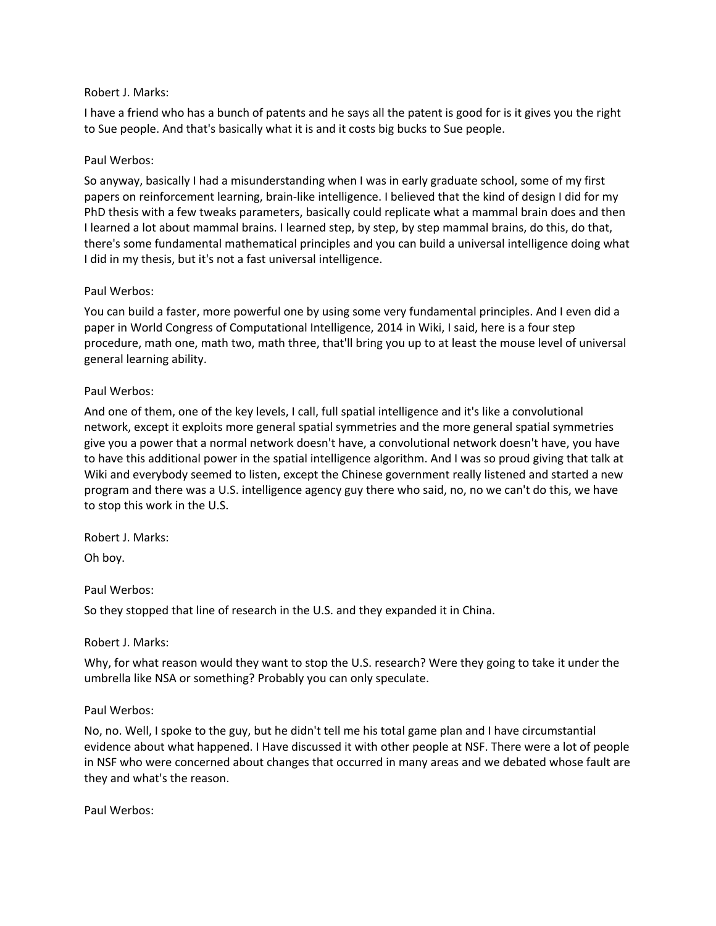#### Robert J. Marks:

I have a friend who has a bunch of patents and he says all the patent is good for is it gives you the right to Sue people. And that's basically what it is and it costs big bucks to Sue people.

## Paul Werbos:

So anyway, basically I had a misunderstanding when I was in early graduate school, some of my first papers on reinforcement learning, brain-like intelligence. I believed that the kind of design I did for my PhD thesis with a few tweaks parameters, basically could replicate what a mammal brain does and then I learned a lot about mammal brains. I learned step, by step, by step mammal brains, do this, do that, there's some fundamental mathematical principles and you can build a universal intelligence doing what I did in my thesis, but it's not a fast universal intelligence.

#### Paul Werbos:

You can build a faster, more powerful one by using some very fundamental principles. And I even did a paper in World Congress of Computational Intelligence, 2014 in Wiki, I said, here is a four step procedure, math one, math two, math three, that'll bring you up to at least the mouse level of universal general learning ability.

#### Paul Werbos:

And one of them, one of the key levels, I call, full spatial intelligence and it's like a convolutional network, except it exploits more general spatial symmetries and the more general spatial symmetries give you a power that a normal network doesn't have, a convolutional network doesn't have, you have to have this additional power in the spatial intelligence algorithm. And I was so proud giving that talk at Wiki and everybody seemed to listen, except the Chinese government really listened and started a new program and there was a U.S. intelligence agency guy there who said, no, no we can't do this, we have to stop this work in the U.S.

Robert J. Marks:

Oh boy.

Paul Werbos:

So they stopped that line of research in the U.S. and they expanded it in China.

## Robert J. Marks:

Why, for what reason would they want to stop the U.S. research? Were they going to take it under the umbrella like NSA or something? Probably you can only speculate.

#### Paul Werbos:

No, no. Well, I spoke to the guy, but he didn't tell me his total game plan and I have circumstantial evidence about what happened. I Have discussed it with other people at NSF. There were a lot of people in NSF who were concerned about changes that occurred in many areas and we debated whose fault are they and what's the reason.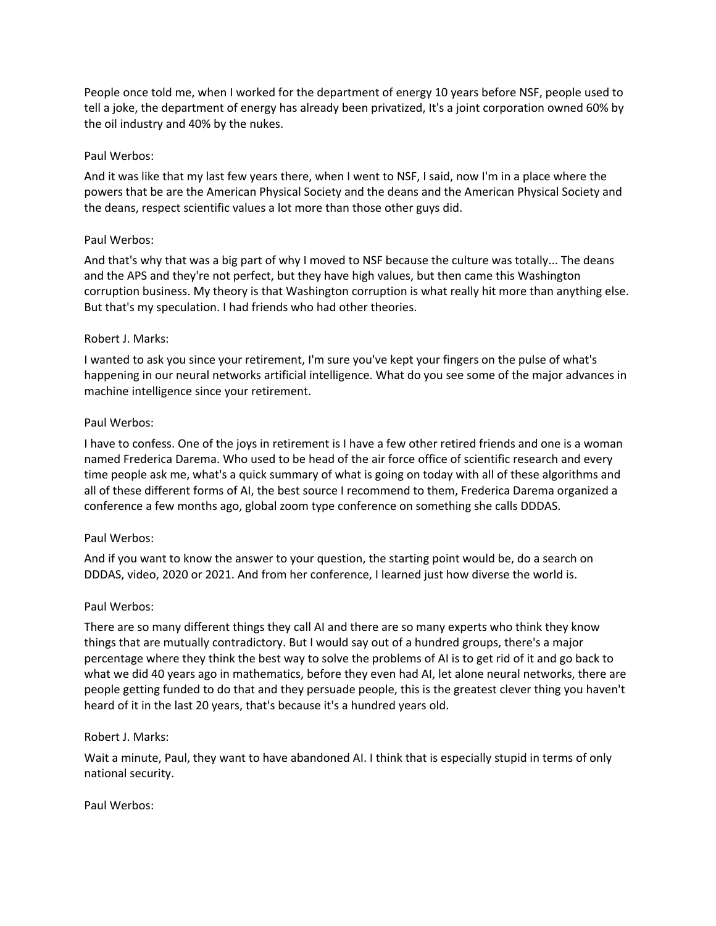People once told me, when I worked for the department of energy 10 years before NSF, people used to tell a joke, the department of energy has already been privatized, It's a joint corporation owned 60% by the oil industry and 40% by the nukes.

#### Paul Werbos:

And it was like that my last few years there, when I went to NSF, I said, now I'm in a place where the powers that be are the American Physical Society and the deans and the American Physical Society and the deans, respect scientific values a lot more than those other guys did.

#### Paul Werbos:

And that's why that was a big part of why I moved to NSF because the culture was totally... The deans and the APS and they're not perfect, but they have high values, but then came this Washington corruption business. My theory is that Washington corruption is what really hit more than anything else. But that's my speculation. I had friends who had other theories.

#### Robert J. Marks:

I wanted to ask you since your retirement, I'm sure you've kept your fingers on the pulse of what's happening in our neural networks artificial intelligence. What do you see some of the major advances in machine intelligence since your retirement.

#### Paul Werbos:

I have to confess. One of the joys in retirement is I have a few other retired friends and one is a woman named Frederica Darema. Who used to be head of the air force office of scientific research and every time people ask me, what's a quick summary of what is going on today with all of these algorithms and all of these different forms of AI, the best source I recommend to them, Frederica Darema organized a conference a few months ago, global zoom type conference on something she calls DDDAS.

#### Paul Werbos:

And if you want to know the answer to your question, the starting point would be, do a search on DDDAS, video, 2020 or 2021. And from her conference, I learned just how diverse the world is.

#### Paul Werbos:

There are so many different things they call AI and there are so many experts who think they know things that are mutually contradictory. But I would say out of a hundred groups, there's a major percentage where they think the best way to solve the problems of AI is to get rid of it and go back to what we did 40 years ago in mathematics, before they even had AI, let alone neural networks, there are people getting funded to do that and they persuade people, this is the greatest clever thing you haven't heard of it in the last 20 years, that's because it's a hundred years old.

#### Robert J. Marks:

Wait a minute, Paul, they want to have abandoned AI. I think that is especially stupid in terms of only national security.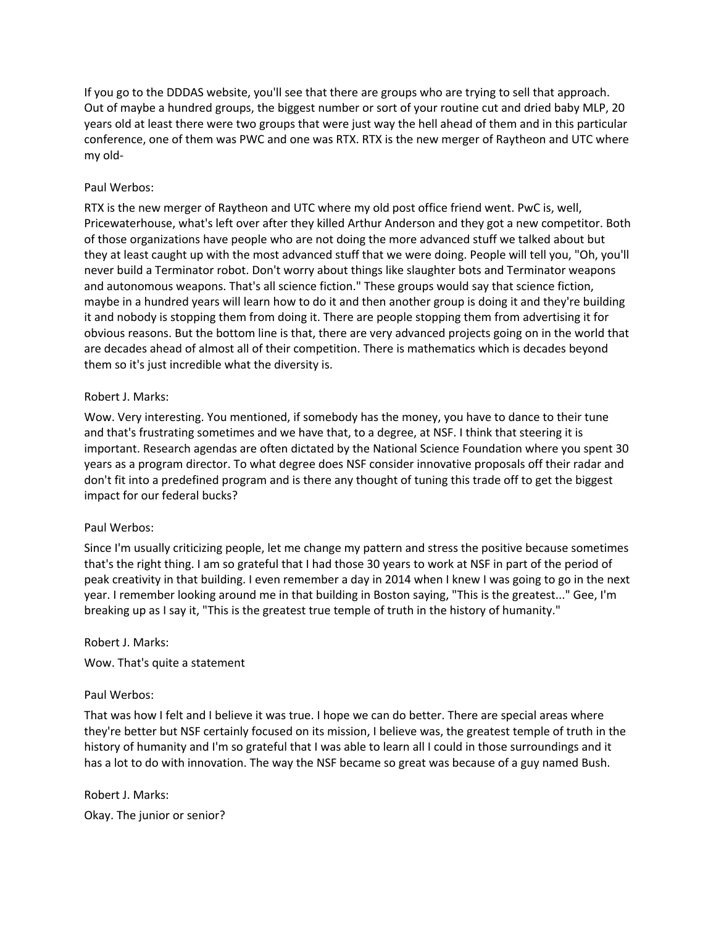If you go to the DDDAS website, you'll see that there are groups who are trying to sell that approach. Out of maybe a hundred groups, the biggest number or sort of your routine cut and dried baby MLP, 20 years old at least there were two groups that were just way the hell ahead of them and in this particular conference, one of them was PWC and one was RTX. RTX is the new merger of Raytheon and UTC where my old-

# Paul Werbos:

RTX is the new merger of Raytheon and UTC where my old post office friend went. PwC is, well, Pricewaterhouse, what's left over after they killed Arthur Anderson and they got a new competitor. Both of those organizations have people who are not doing the more advanced stuff we talked about but they at least caught up with the most advanced stuff that we were doing. People will tell you, "Oh, you'll never build a Terminator robot. Don't worry about things like slaughter bots and Terminator weapons and autonomous weapons. That's all science fiction." These groups would say that science fiction, maybe in a hundred years will learn how to do it and then another group is doing it and they're building it and nobody is stopping them from doing it. There are people stopping them from advertising it for obvious reasons. But the bottom line is that, there are very advanced projects going on in the world that are decades ahead of almost all of their competition. There is mathematics which is decades beyond them so it's just incredible what the diversity is.

## Robert J. Marks:

Wow. Very interesting. You mentioned, if somebody has the money, you have to dance to their tune and that's frustrating sometimes and we have that, to a degree, at NSF. I think that steering it is important. Research agendas are often dictated by the National Science Foundation where you spent 30 years as a program director. To what degree does NSF consider innovative proposals off their radar and don't fit into a predefined program and is there any thought of tuning this trade off to get the biggest impact for our federal bucks?

## Paul Werbos:

Since I'm usually criticizing people, let me change my pattern and stress the positive because sometimes that's the right thing. I am so grateful that I had those 30 years to work at NSF in part of the period of peak creativity in that building. I even remember a day in 2014 when I knew I was going to go in the next year. I remember looking around me in that building in Boston saying, "This is the greatest..." Gee, I'm breaking up as I say it, "This is the greatest true temple of truth in the history of humanity."

## Robert J. Marks:

Wow. That's quite a statement

## Paul Werbos:

That was how I felt and I believe it was true. I hope we can do better. There are special areas where they're better but NSF certainly focused on its mission, I believe was, the greatest temple of truth in the history of humanity and I'm so grateful that I was able to learn all I could in those surroundings and it has a lot to do with innovation. The way the NSF became so great was because of a guy named Bush.

Robert J. Marks: Okay. The junior or senior?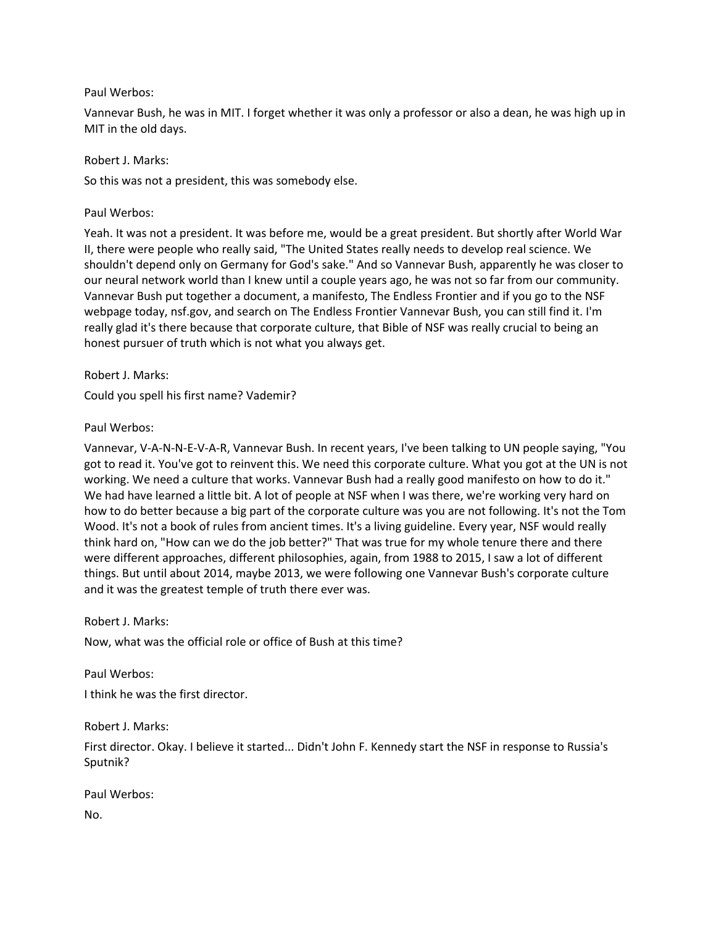#### Paul Werbos:

Vannevar Bush, he was in MIT. I forget whether it was only a professor or also a dean, he was high up in MIT in the old days.

Robert J. Marks:

So this was not a president, this was somebody else.

Paul Werbos:

Yeah. It was not a president. It was before me, would be a great president. But shortly after World War II, there were people who really said, "The United States really needs to develop real science. We shouldn't depend only on Germany for God's sake." And so Vannevar Bush, apparently he was closer to our neural network world than I knew until a couple years ago, he was not so far from our community. Vannevar Bush put together a document, a manifesto, The Endless Frontier and if you go to the NSF webpage today, nsf.gov, and search on The Endless Frontier Vannevar Bush, you can still find it. I'm really glad it's there because that corporate culture, that Bible of NSF was really crucial to being an honest pursuer of truth which is not what you always get.

Robert J. Marks:

Could you spell his first name? Vademir?

Paul Werbos:

Vannevar, V-A-N-N-E-V-A-R, Vannevar Bush. In recent years, I've been talking to UN people saying, "You got to read it. You've got to reinvent this. We need this corporate culture. What you got at the UN is not working. We need a culture that works. Vannevar Bush had a really good manifesto on how to do it." We had have learned a little bit. A lot of people at NSF when I was there, we're working very hard on how to do better because a big part of the corporate culture was you are not following. It's not the Tom Wood. It's not a book of rules from ancient times. It's a living guideline. Every year, NSF would really think hard on, "How can we do the job better?" That was true for my whole tenure there and there were different approaches, different philosophies, again, from 1988 to 2015, I saw a lot of different things. But until about 2014, maybe 2013, we were following one Vannevar Bush's corporate culture and it was the greatest temple of truth there ever was.

Robert J. Marks:

Now, what was the official role or office of Bush at this time?

Paul Werbos: I think he was the first director.

Robert J. Marks:

First director. Okay. I believe it started... Didn't John F. Kennedy start the NSF in response to Russia's Sputnik?

Paul Werbos: No.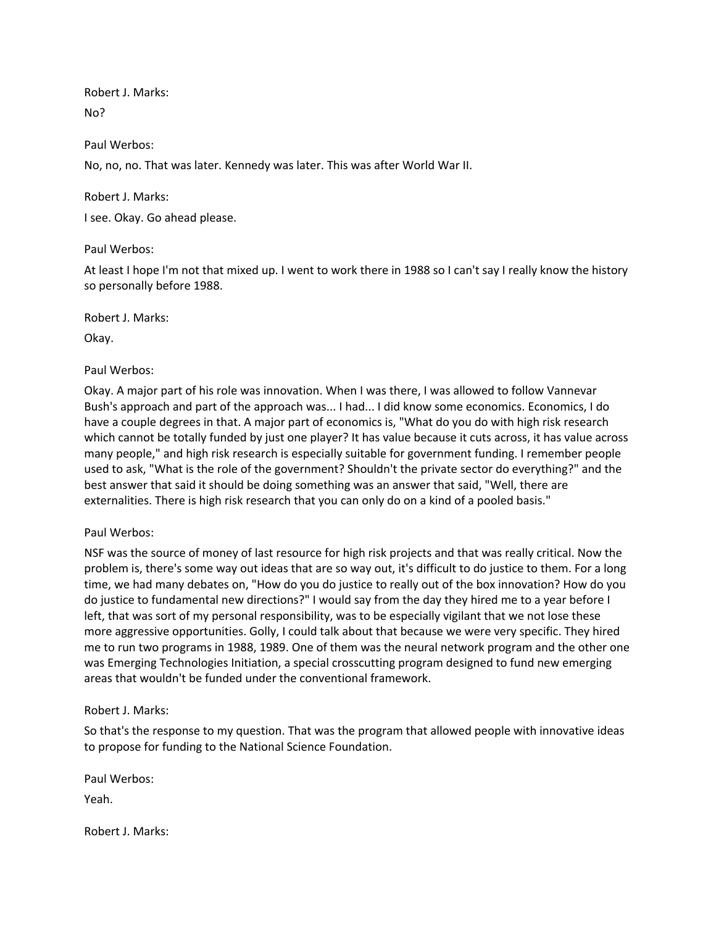Robert J. Marks: No?

#### Paul Werbos:

No, no, no. That was later. Kennedy was later. This was after World War II.

Robert J. Marks:

I see. Okay. Go ahead please.

#### Paul Werbos:

At least I hope I'm not that mixed up. I went to work there in 1988 so I can't say I really know the history so personally before 1988.

Robert J. Marks:

Okay.

#### Paul Werbos:

Okay. A major part of his role was innovation. When I was there, I was allowed to follow Vannevar Bush's approach and part of the approach was... I had... I did know some economics. Economics, I do have a couple degrees in that. A major part of economics is, "What do you do with high risk research which cannot be totally funded by just one player? It has value because it cuts across, it has value across many people," and high risk research is especially suitable for government funding. I remember people used to ask, "What is the role of the government? Shouldn't the private sector do everything?" and the best answer that said it should be doing something was an answer that said, "Well, there are externalities. There is high risk research that you can only do on a kind of a pooled basis."

#### Paul Werbos:

NSF was the source of money of last resource for high risk projects and that was really critical. Now the problem is, there's some way out ideas that are so way out, it's difficult to do justice to them. For a long time, we had many debates on, "How do you do justice to really out of the box innovation? How do you do justice to fundamental new directions?" I would say from the day they hired me to a year before I left, that was sort of my personal responsibility, was to be especially vigilant that we not lose these more aggressive opportunities. Golly, I could talk about that because we were very specific. They hired me to run two programs in 1988, 1989. One of them was the neural network program and the other one was Emerging Technologies Initiation, a special crosscutting program designed to fund new emerging areas that wouldn't be funded under the conventional framework.

#### Robert J. Marks:

So that's the response to my question. That was the program that allowed people with innovative ideas to propose for funding to the National Science Foundation.

Paul Werbos:

Yeah.

Robert J. Marks: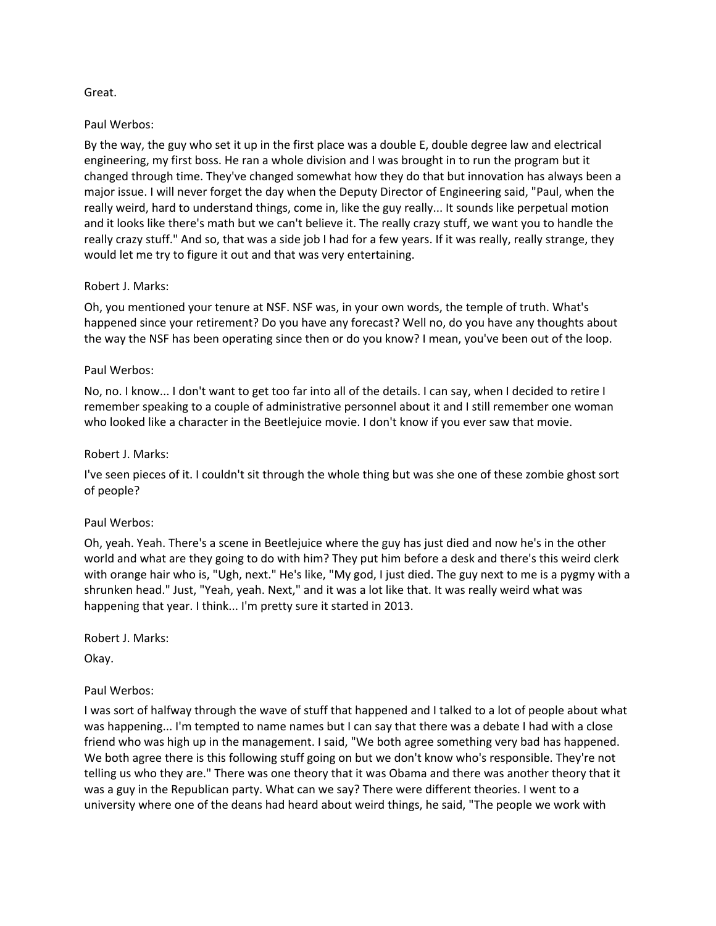## Great.

#### Paul Werbos:

By the way, the guy who set it up in the first place was a double E, double degree law and electrical engineering, my first boss. He ran a whole division and I was brought in to run the program but it changed through time. They've changed somewhat how they do that but innovation has always been a major issue. I will never forget the day when the Deputy Director of Engineering said, "Paul, when the really weird, hard to understand things, come in, like the guy really... It sounds like perpetual motion and it looks like there's math but we can't believe it. The really crazy stuff, we want you to handle the really crazy stuff." And so, that was a side job I had for a few years. If it was really, really strange, they would let me try to figure it out and that was very entertaining.

#### Robert J. Marks:

Oh, you mentioned your tenure at NSF. NSF was, in your own words, the temple of truth. What's happened since your retirement? Do you have any forecast? Well no, do you have any thoughts about the way the NSF has been operating since then or do you know? I mean, you've been out of the loop.

#### Paul Werbos:

No, no. I know... I don't want to get too far into all of the details. I can say, when I decided to retire I remember speaking to a couple of administrative personnel about it and I still remember one woman who looked like a character in the Beetlejuice movie. I don't know if you ever saw that movie.

#### Robert J. Marks:

I've seen pieces of it. I couldn't sit through the whole thing but was she one of these zombie ghost sort of people?

#### Paul Werbos:

Oh, yeah. Yeah. There's a scene in Beetlejuice where the guy has just died and now he's in the other world and what are they going to do with him? They put him before a desk and there's this weird clerk with orange hair who is, "Ugh, next." He's like, "My god, I just died. The guy next to me is a pygmy with a shrunken head." Just, "Yeah, yeah. Next," and it was a lot like that. It was really weird what was happening that year. I think... I'm pretty sure it started in 2013.

Robert J. Marks:

Okay.

## Paul Werbos:

I was sort of halfway through the wave of stuff that happened and I talked to a lot of people about what was happening... I'm tempted to name names but I can say that there was a debate I had with a close friend who was high up in the management. I said, "We both agree something very bad has happened. We both agree there is this following stuff going on but we don't know who's responsible. They're not telling us who they are." There was one theory that it was Obama and there was another theory that it was a guy in the Republican party. What can we say? There were different theories. I went to a university where one of the deans had heard about weird things, he said, "The people we work with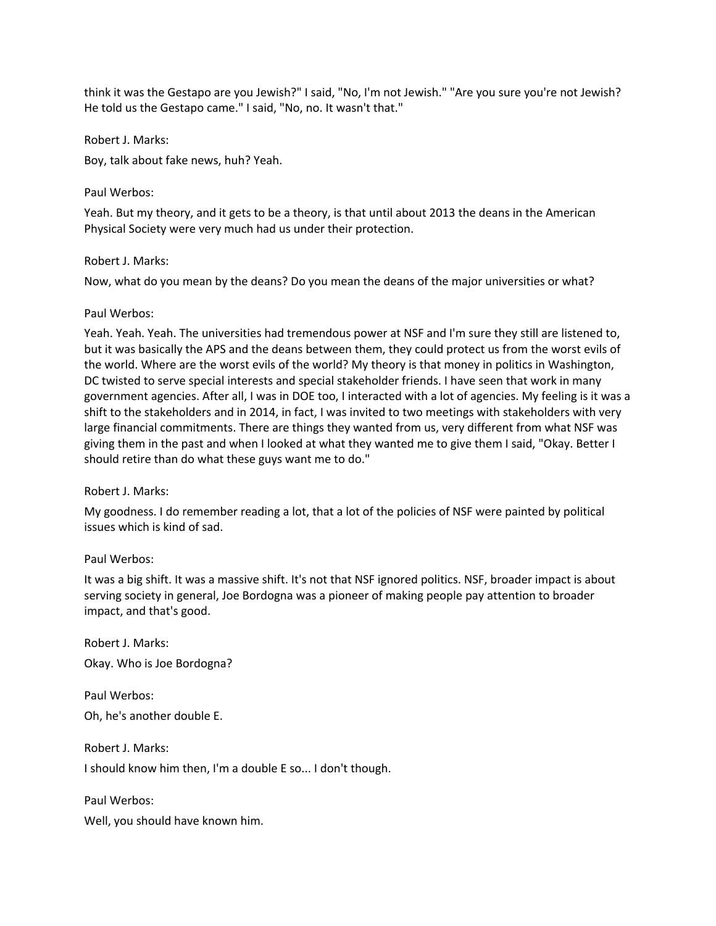think it was the Gestapo are you Jewish?" I said, "No, I'm not Jewish." "Are you sure you're not Jewish? He told us the Gestapo came." I said, "No, no. It wasn't that."

Robert J. Marks:

Boy, talk about fake news, huh? Yeah.

## Paul Werbos:

Yeah. But my theory, and it gets to be a theory, is that until about 2013 the deans in the American Physical Society were very much had us under their protection.

## Robert J. Marks:

Now, what do you mean by the deans? Do you mean the deans of the major universities or what?

#### Paul Werbos:

Yeah. Yeah. Yeah. The universities had tremendous power at NSF and I'm sure they still are listened to, but it was basically the APS and the deans between them, they could protect us from the worst evils of the world. Where are the worst evils of the world? My theory is that money in politics in Washington, DC twisted to serve special interests and special stakeholder friends. I have seen that work in many government agencies. After all, I was in DOE too, I interacted with a lot of agencies. My feeling is it was a shift to the stakeholders and in 2014, in fact, I was invited to two meetings with stakeholders with very large financial commitments. There are things they wanted from us, very different from what NSF was giving them in the past and when I looked at what they wanted me to give them I said, "Okay. Better I should retire than do what these guys want me to do."

## Robert J. Marks:

My goodness. I do remember reading a lot, that a lot of the policies of NSF were painted by political issues which is kind of sad.

## Paul Werbos:

It was a big shift. It was a massive shift. It's not that NSF ignored politics. NSF, broader impact is about serving society in general, Joe Bordogna was a pioneer of making people pay attention to broader impact, and that's good.

Robert J. Marks: Okay. Who is Joe Bordogna?

Paul Werbos: Oh, he's another double E.

Robert J. Marks: I should know him then, I'm a double E so... I don't though.

Paul Werbos:

Well, you should have known him.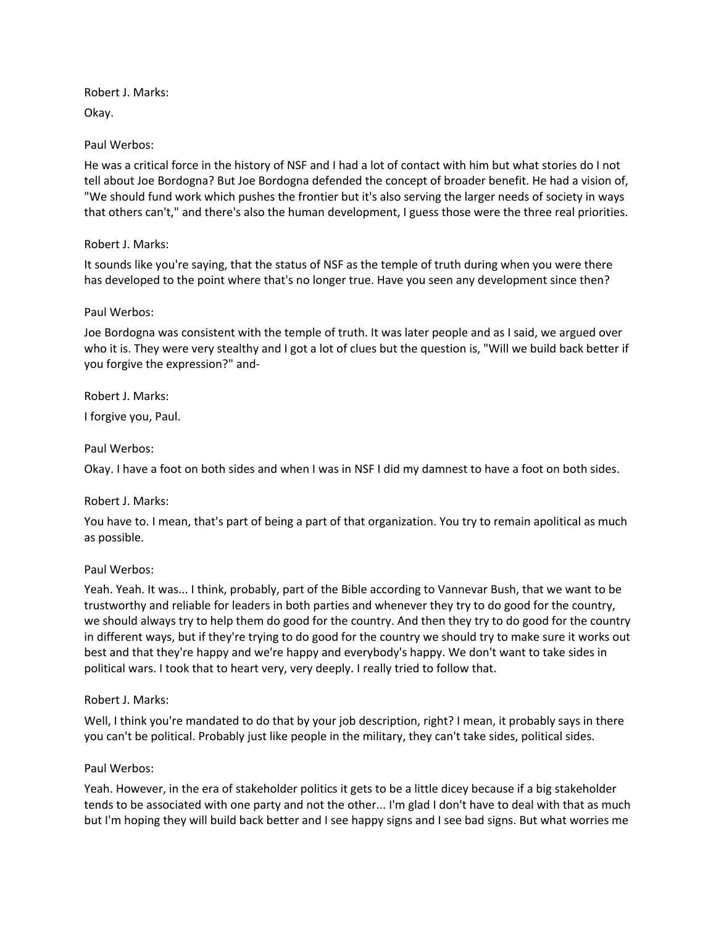Robert J. Marks: Okay.

## Paul Werbos:

He was a critical force in the history of NSF and I had a lot of contact with him but what stories do I not tell about Joe Bordogna? But Joe Bordogna defended the concept of broader benefit. He had a vision of, "We should fund work which pushes the frontier but it's also serving the larger needs of society in ways that others can't," and there's also the human development, I guess those were the three real priorities.

# Robert J. Marks:

It sounds like you're saying, that the status of NSF as the temple of truth during when you were there has developed to the point where that's no longer true. Have you seen any development since then?

# Paul Werbos:

Joe Bordogna was consistent with the temple of truth. It was later people and as I said, we argued over who it is. They were very stealthy and I got a lot of clues but the question is, "Will we build back better if you forgive the expression?" and-

Robert J. Marks:

I forgive you, Paul.

# Paul Werbos:

Okay. I have a foot on both sides and when I was in NSF I did my damnest to have a foot on both sides.

## Robert J. Marks:

You have to. I mean, that's part of being a part of that organization. You try to remain apolitical as much as possible.

## Paul Werbos:

Yeah. Yeah. It was... I think, probably, part of the Bible according to Vannevar Bush, that we want to be trustworthy and reliable for leaders in both parties and whenever they try to do good for the country, we should always try to help them do good for the country. And then they try to do good for the country in different ways, but if they're trying to do good for the country we should try to make sure it works out best and that they're happy and we're happy and everybody's happy. We don't want to take sides in political wars. I took that to heart very, very deeply. I really tried to follow that.

## Robert J. Marks:

Well, I think you're mandated to do that by your job description, right? I mean, it probably says in there you can't be political. Probably just like people in the military, they can't take sides, political sides.

## Paul Werbos:

Yeah. However, in the era of stakeholder politics it gets to be a little dicey because if a big stakeholder tends to be associated with one party and not the other... I'm glad I don't have to deal with that as much but I'm hoping they will build back better and I see happy signs and I see bad signs. But what worries me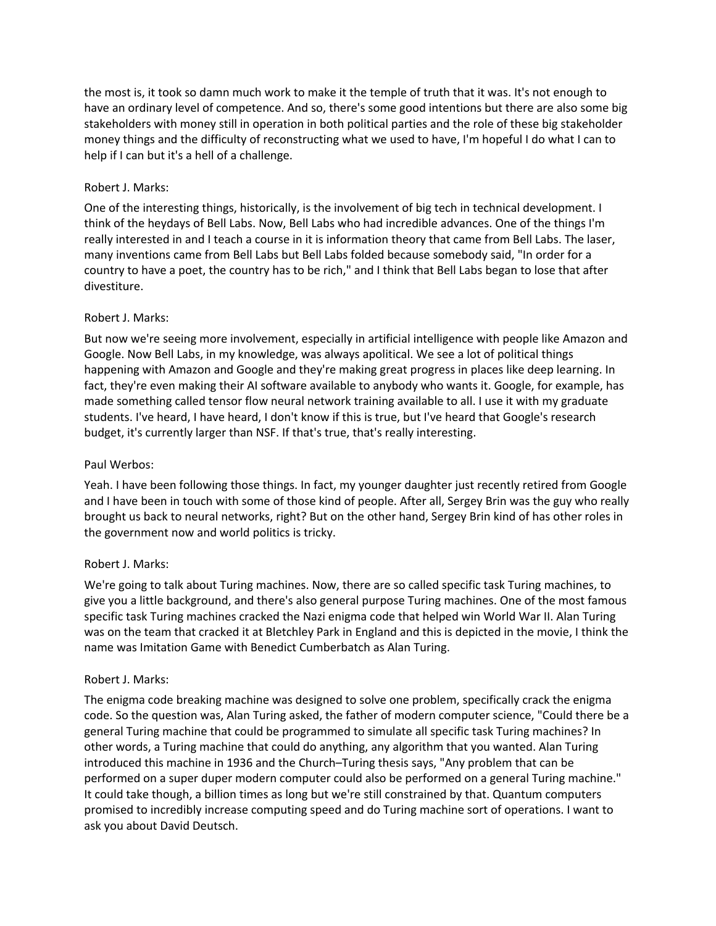the most is, it took so damn much work to make it the temple of truth that it was. It's not enough to have an ordinary level of competence. And so, there's some good intentions but there are also some big stakeholders with money still in operation in both political parties and the role of these big stakeholder money things and the difficulty of reconstructing what we used to have, I'm hopeful I do what I can to help if I can but it's a hell of a challenge.

#### Robert J. Marks:

One of the interesting things, historically, is the involvement of big tech in technical development. I think of the heydays of Bell Labs. Now, Bell Labs who had incredible advances. One of the things I'm really interested in and I teach a course in it is information theory that came from Bell Labs. The laser, many inventions came from Bell Labs but Bell Labs folded because somebody said, "In order for a country to have a poet, the country has to be rich," and I think that Bell Labs began to lose that after divestiture.

#### Robert J. Marks:

But now we're seeing more involvement, especially in artificial intelligence with people like Amazon and Google. Now Bell Labs, in my knowledge, was always apolitical. We see a lot of political things happening with Amazon and Google and they're making great progress in places like deep learning. In fact, they're even making their AI software available to anybody who wants it. Google, for example, has made something called tensor flow neural network training available to all. I use it with my graduate students. I've heard, I have heard, I don't know if this is true, but I've heard that Google's research budget, it's currently larger than NSF. If that's true, that's really interesting.

#### Paul Werbos:

Yeah. I have been following those things. In fact, my younger daughter just recently retired from Google and I have been in touch with some of those kind of people. After all, Sergey Brin was the guy who really brought us back to neural networks, right? But on the other hand, Sergey Brin kind of has other roles in the government now and world politics is tricky.

#### Robert J. Marks:

We're going to talk about Turing machines. Now, there are so called specific task Turing machines, to give you a little background, and there's also general purpose Turing machines. One of the most famous specific task Turing machines cracked the Nazi enigma code that helped win World War II. Alan Turing was on the team that cracked it at Bletchley Park in England and this is depicted in the movie, I think the name was Imitation Game with Benedict Cumberbatch as Alan Turing.

#### Robert J. Marks:

The enigma code breaking machine was designed to solve one problem, specifically crack the enigma code. So the question was, Alan Turing asked, the father of modern computer science, "Could there be a general Turing machine that could be programmed to simulate all specific task Turing machines? In other words, a Turing machine that could do anything, any algorithm that you wanted. Alan Turing introduced this machine in 1936 and the Church–Turing thesis says, "Any problem that can be performed on a super duper modern computer could also be performed on a general Turing machine." It could take though, a billion times as long but we're still constrained by that. Quantum computers promised to incredibly increase computing speed and do Turing machine sort of operations. I want to ask you about David Deutsch.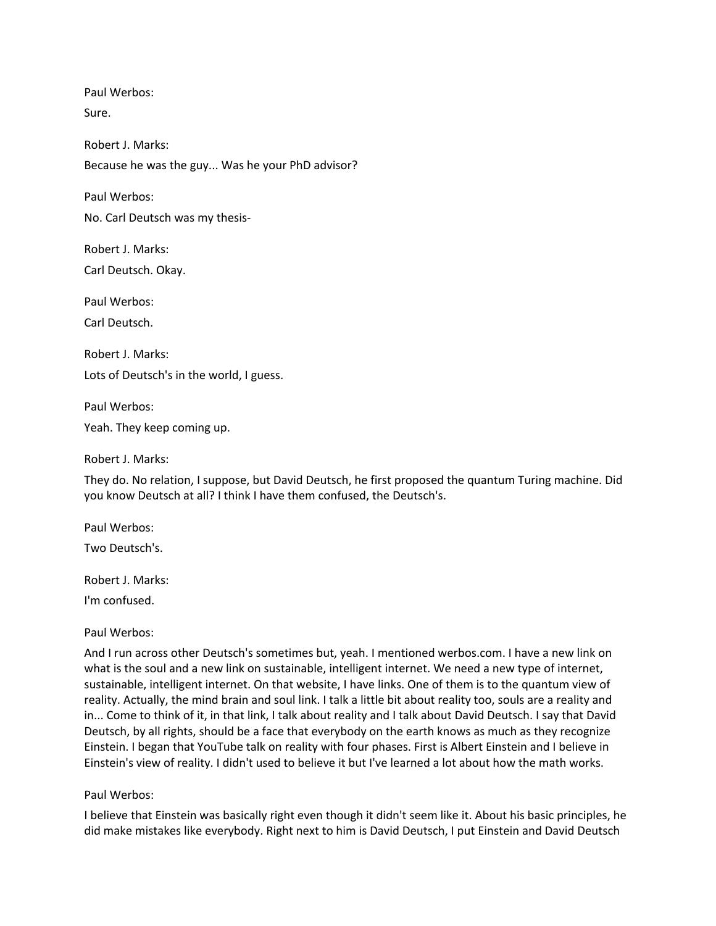Paul Werbos: Sure.

Robert J. Marks: Because he was the guy... Was he your PhD advisor?

Paul Werbos:

No. Carl Deutsch was my thesis-

Robert J. Marks: Carl Deutsch. Okay.

Paul Werbos: Carl Deutsch.

Robert J. Marks: Lots of Deutsch's in the world, I guess.

Paul Werbos: Yeah. They keep coming up.

Robert J. Marks:

They do. No relation, I suppose, but David Deutsch, he first proposed the quantum Turing machine. Did you know Deutsch at all? I think I have them confused, the Deutsch's.

Paul Werbos:

Two Deutsch's.

Robert J. Marks:

I'm confused.

## Paul Werbos:

And I run across other Deutsch's sometimes but, yeah. I mentioned werbos.com. I have a new link on what is the soul and a new link on sustainable, intelligent internet. We need a new type of internet, sustainable, intelligent internet. On that website, I have links. One of them is to the quantum view of reality. Actually, the mind brain and soul link. I talk a little bit about reality too, souls are a reality and in... Come to think of it, in that link, I talk about reality and I talk about David Deutsch. I say that David Deutsch, by all rights, should be a face that everybody on the earth knows as much as they recognize Einstein. I began that YouTube talk on reality with four phases. First is Albert Einstein and I believe in Einstein's view of reality. I didn't used to believe it but I've learned a lot about how the math works.

## Paul Werbos:

I believe that Einstein was basically right even though it didn't seem like it. About his basic principles, he did make mistakes like everybody. Right next to him is David Deutsch, I put Einstein and David Deutsch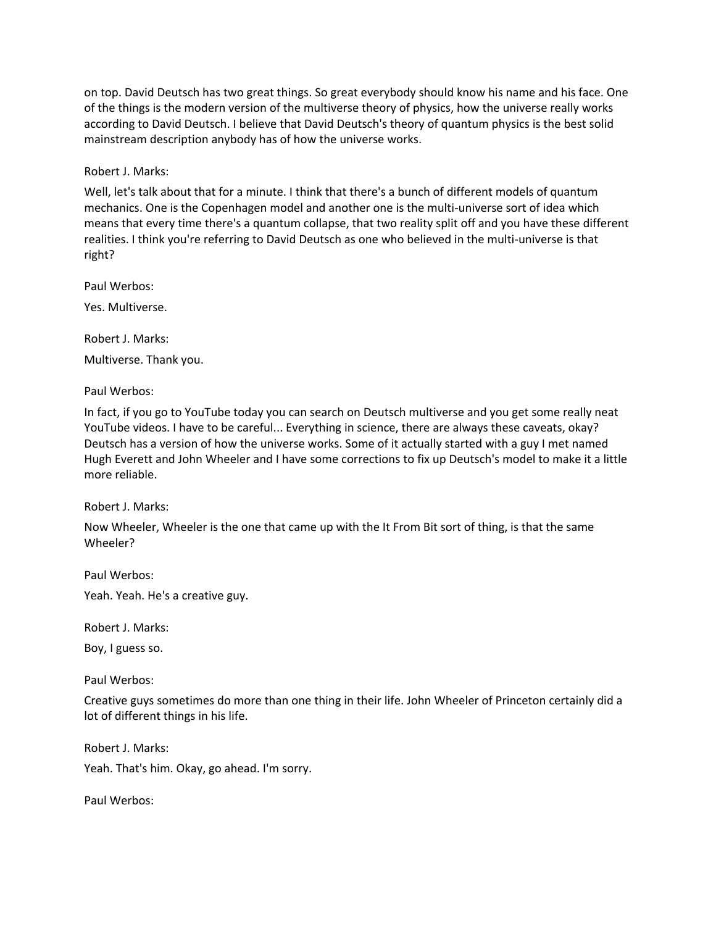on top. David Deutsch has two great things. So great everybody should know his name and his face. One of the things is the modern version of the multiverse theory of physics, how the universe really works according to David Deutsch. I believe that David Deutsch's theory of quantum physics is the best solid mainstream description anybody has of how the universe works.

Robert J. Marks:

Well, let's talk about that for a minute. I think that there's a bunch of different models of quantum mechanics. One is the Copenhagen model and another one is the multi-universe sort of idea which means that every time there's a quantum collapse, that two reality split off and you have these different realities. I think you're referring to David Deutsch as one who believed in the multi-universe is that right?

Paul Werbos:

Yes. Multiverse.

Robert J. Marks:

Multiverse. Thank you.

Paul Werbos:

In fact, if you go to YouTube today you can search on Deutsch multiverse and you get some really neat YouTube videos. I have to be careful... Everything in science, there are always these caveats, okay? Deutsch has a version of how the universe works. Some of it actually started with a guy I met named Hugh Everett and John Wheeler and I have some corrections to fix up Deutsch's model to make it a little more reliable.

Robert J. Marks:

Now Wheeler, Wheeler is the one that came up with the It From Bit sort of thing, is that the same Wheeler?

Paul Werbos:

Yeah. Yeah. He's a creative guy.

Robert J. Marks:

Boy, I guess so.

Paul Werbos:

Creative guys sometimes do more than one thing in their life. John Wheeler of Princeton certainly did a lot of different things in his life.

Robert J. Marks: Yeah. That's him. Okay, go ahead. I'm sorry.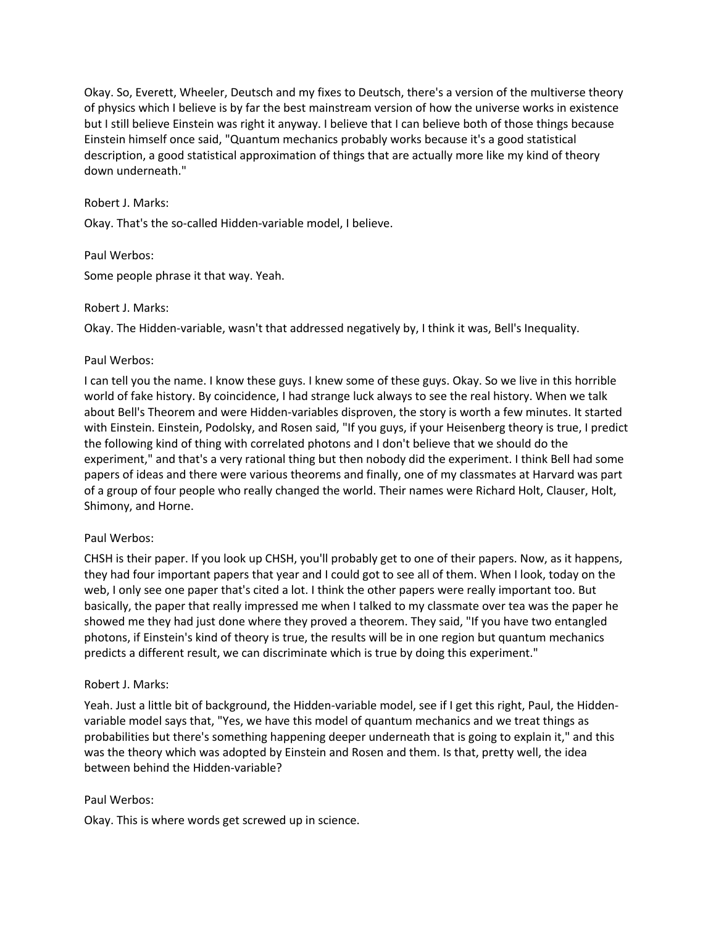Okay. So, Everett, Wheeler, Deutsch and my fixes to Deutsch, there's a version of the multiverse theory of physics which I believe is by far the best mainstream version of how the universe works in existence but I still believe Einstein was right it anyway. I believe that I can believe both of those things because Einstein himself once said, "Quantum mechanics probably works because it's a good statistical description, a good statistical approximation of things that are actually more like my kind of theory down underneath."

## Robert J. Marks:

Okay. That's the so-called Hidden-variable model, I believe.

## Paul Werbos:

Some people phrase it that way. Yeah.

#### Robert J. Marks:

Okay. The Hidden-variable, wasn't that addressed negatively by, I think it was, Bell's Inequality.

## Paul Werbos:

I can tell you the name. I know these guys. I knew some of these guys. Okay. So we live in this horrible world of fake history. By coincidence, I had strange luck always to see the real history. When we talk about Bell's Theorem and were Hidden-variables disproven, the story is worth a few minutes. It started with Einstein. Einstein, Podolsky, and Rosen said, "If you guys, if your Heisenberg theory is true, I predict the following kind of thing with correlated photons and I don't believe that we should do the experiment," and that's a very rational thing but then nobody did the experiment. I think Bell had some papers of ideas and there were various theorems and finally, one of my classmates at Harvard was part of a group of four people who really changed the world. Their names were Richard Holt, Clauser, Holt, Shimony, and Horne.

## Paul Werbos:

CHSH is their paper. If you look up CHSH, you'll probably get to one of their papers. Now, as it happens, they had four important papers that year and I could got to see all of them. When I look, today on the web, I only see one paper that's cited a lot. I think the other papers were really important too. But basically, the paper that really impressed me when I talked to my classmate over tea was the paper he showed me they had just done where they proved a theorem. They said, "If you have two entangled photons, if Einstein's kind of theory is true, the results will be in one region but quantum mechanics predicts a different result, we can discriminate which is true by doing this experiment."

## Robert J. Marks:

Yeah. Just a little bit of background, the Hidden-variable model, see if I get this right, Paul, the Hiddenvariable model says that, "Yes, we have this model of quantum mechanics and we treat things as probabilities but there's something happening deeper underneath that is going to explain it," and this was the theory which was adopted by Einstein and Rosen and them. Is that, pretty well, the idea between behind the Hidden-variable?

## Paul Werbos:

Okay. This is where words get screwed up in science.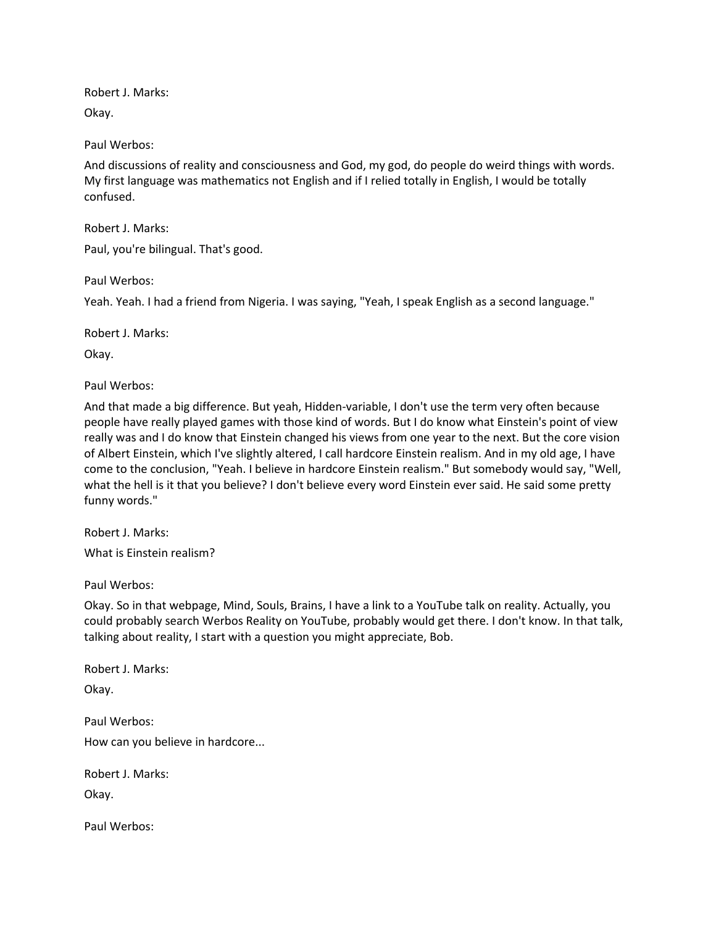Robert J. Marks: Okay.

Paul Werbos:

And discussions of reality and consciousness and God, my god, do people do weird things with words. My first language was mathematics not English and if I relied totally in English, I would be totally confused.

Robert J. Marks:

Paul, you're bilingual. That's good.

Paul Werbos:

Yeah. Yeah. I had a friend from Nigeria. I was saying, "Yeah, I speak English as a second language."

Robert J. Marks:

Okay.

Paul Werbos:

And that made a big difference. But yeah, Hidden-variable, I don't use the term very often because people have really played games with those kind of words. But I do know what Einstein's point of view really was and I do know that Einstein changed his views from one year to the next. But the core vision of Albert Einstein, which I've slightly altered, I call hardcore Einstein realism. And in my old age, I have come to the conclusion, "Yeah. I believe in hardcore Einstein realism." But somebody would say, "Well, what the hell is it that you believe? I don't believe every word Einstein ever said. He said some pretty funny words."

Robert J. Marks:

What is Einstein realism?

Paul Werbos:

Okay. So in that webpage, Mind, Souls, Brains, I have a link to a YouTube talk on reality. Actually, you could probably search Werbos Reality on YouTube, probably would get there. I don't know. In that talk, talking about reality, I start with a question you might appreciate, Bob.

Robert J. Marks:

Okay.

Paul Werbos:

How can you believe in hardcore...

Robert J. Marks:

Okay.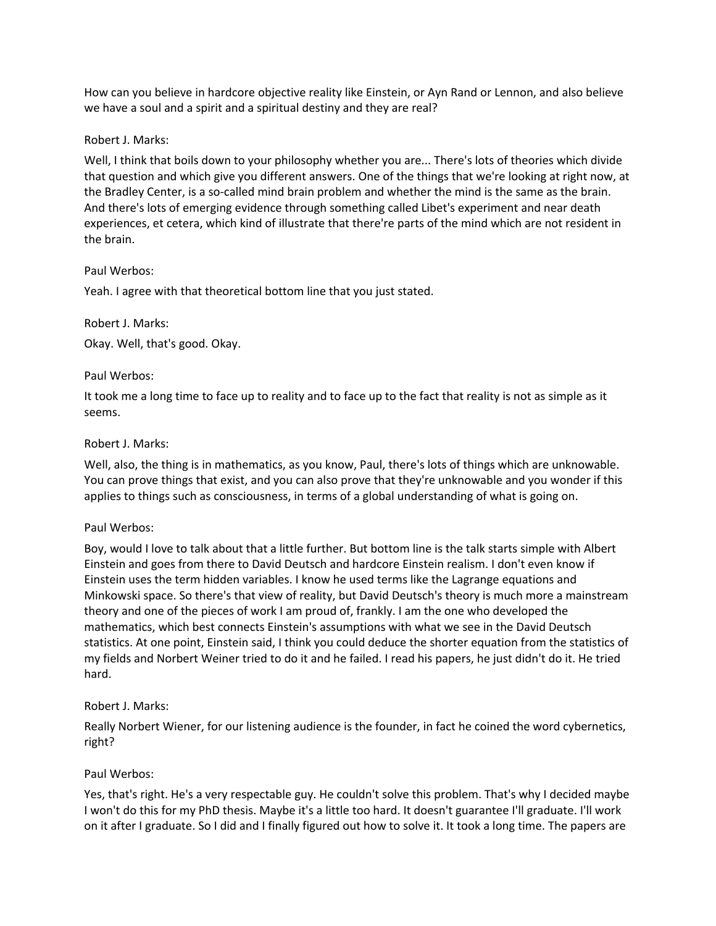How can you believe in hardcore objective reality like Einstein, or Ayn Rand or Lennon, and also believe we have a soul and a spirit and a spiritual destiny and they are real?

#### Robert J. Marks:

Well, I think that boils down to your philosophy whether you are... There's lots of theories which divide that question and which give you different answers. One of the things that we're looking at right now, at the Bradley Center, is a so-called mind brain problem and whether the mind is the same as the brain. And there's lots of emerging evidence through something called Libet's experiment and near death experiences, et cetera, which kind of illustrate that there're parts of the mind which are not resident in the brain.

#### Paul Werbos:

Yeah. I agree with that theoretical bottom line that you just stated.

## Robert J. Marks:

Okay. Well, that's good. Okay.

#### Paul Werbos:

It took me a long time to face up to reality and to face up to the fact that reality is not as simple as it seems.

#### Robert J. Marks:

Well, also, the thing is in mathematics, as you know, Paul, there's lots of things which are unknowable. You can prove things that exist, and you can also prove that they're unknowable and you wonder if this applies to things such as consciousness, in terms of a global understanding of what is going on.

## Paul Werbos:

Boy, would I love to talk about that a little further. But bottom line is the talk starts simple with Albert Einstein and goes from there to David Deutsch and hardcore Einstein realism. I don't even know if Einstein uses the term hidden variables. I know he used terms like the Lagrange equations and Minkowski space. So there's that view of reality, but David Deutsch's theory is much more a mainstream theory and one of the pieces of work I am proud of, frankly. I am the one who developed the mathematics, which best connects Einstein's assumptions with what we see in the David Deutsch statistics. At one point, Einstein said, I think you could deduce the shorter equation from the statistics of my fields and Norbert Weiner tried to do it and he failed. I read his papers, he just didn't do it. He tried hard.

## Robert J. Marks:

Really Norbert Wiener, for our listening audience is the founder, in fact he coined the word cybernetics, right?

## Paul Werbos:

Yes, that's right. He's a very respectable guy. He couldn't solve this problem. That's why I decided maybe I won't do this for my PhD thesis. Maybe it's a little too hard. It doesn't guarantee I'll graduate. I'll work on it after I graduate. So I did and I finally figured out how to solve it. It took a long time. The papers are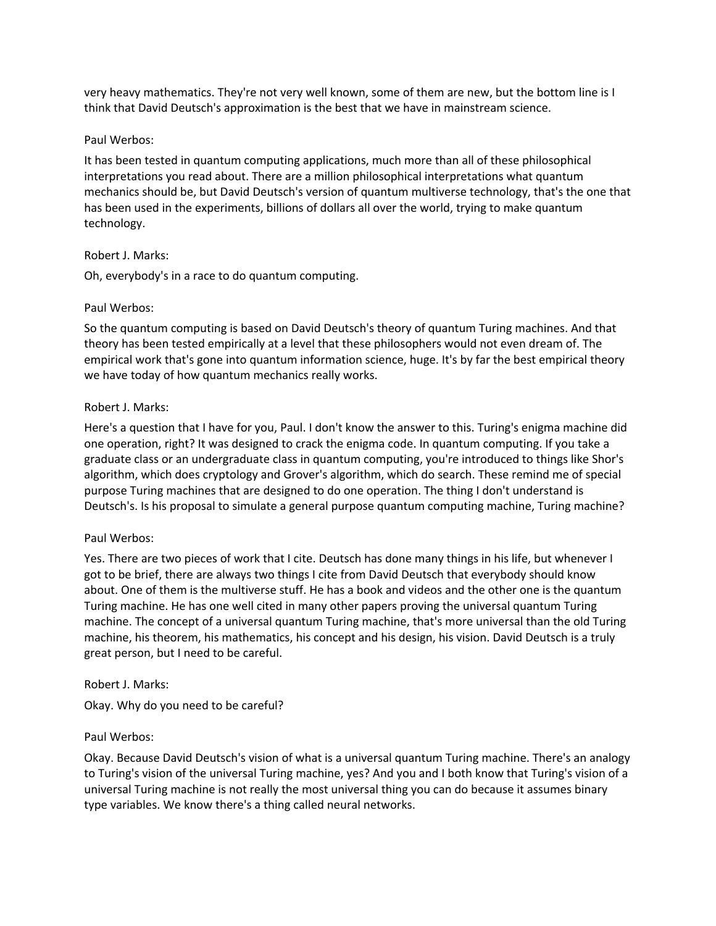very heavy mathematics. They're not very well known, some of them are new, but the bottom line is I think that David Deutsch's approximation is the best that we have in mainstream science.

#### Paul Werbos:

It has been tested in quantum computing applications, much more than all of these philosophical interpretations you read about. There are a million philosophical interpretations what quantum mechanics should be, but David Deutsch's version of quantum multiverse technology, that's the one that has been used in the experiments, billions of dollars all over the world, trying to make quantum technology.

#### Robert J. Marks:

Oh, everybody's in a race to do quantum computing.

#### Paul Werbos:

So the quantum computing is based on David Deutsch's theory of quantum Turing machines. And that theory has been tested empirically at a level that these philosophers would not even dream of. The empirical work that's gone into quantum information science, huge. It's by far the best empirical theory we have today of how quantum mechanics really works.

#### Robert J. Marks:

Here's a question that I have for you, Paul. I don't know the answer to this. Turing's enigma machine did one operation, right? It was designed to crack the enigma code. In quantum computing. If you take a graduate class or an undergraduate class in quantum computing, you're introduced to things like Shor's algorithm, which does cryptology and Grover's algorithm, which do search. These remind me of special purpose Turing machines that are designed to do one operation. The thing I don't understand is Deutsch's. Is his proposal to simulate a general purpose quantum computing machine, Turing machine?

## Paul Werbos:

Yes. There are two pieces of work that I cite. Deutsch has done many things in his life, but whenever I got to be brief, there are always two things I cite from David Deutsch that everybody should know about. One of them is the multiverse stuff. He has a book and videos and the other one is the quantum Turing machine. He has one well cited in many other papers proving the universal quantum Turing machine. The concept of a universal quantum Turing machine, that's more universal than the old Turing machine, his theorem, his mathematics, his concept and his design, his vision. David Deutsch is a truly great person, but I need to be careful.

## Robert J. Marks:

Okay. Why do you need to be careful?

## Paul Werbos:

Okay. Because David Deutsch's vision of what is a universal quantum Turing machine. There's an analogy to Turing's vision of the universal Turing machine, yes? And you and I both know that Turing's vision of a universal Turing machine is not really the most universal thing you can do because it assumes binary type variables. We know there's a thing called neural networks.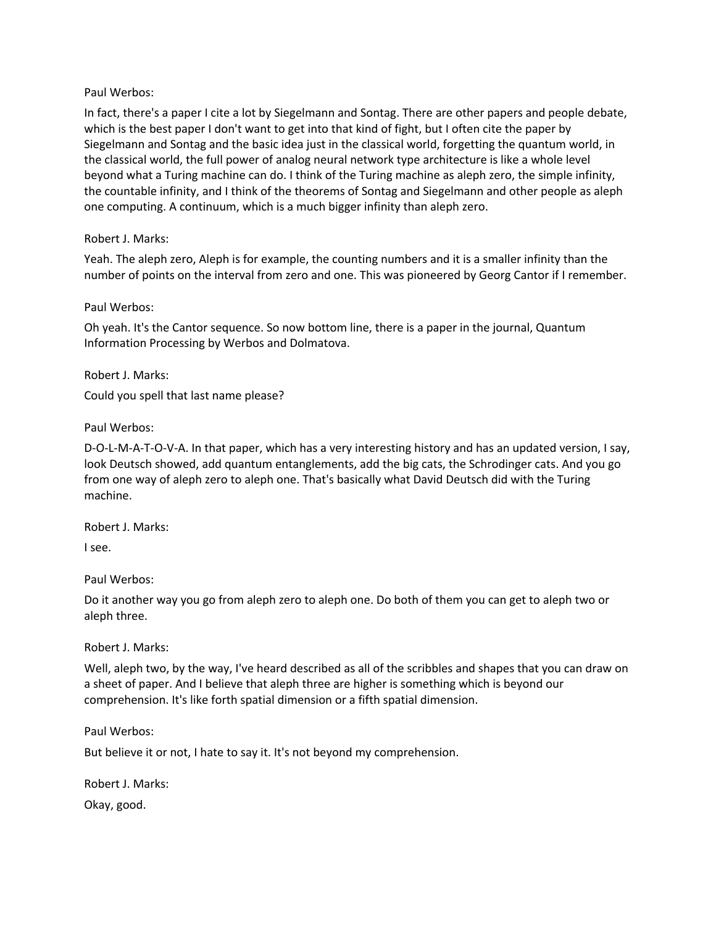#### Paul Werbos:

In fact, there's a paper I cite a lot by Siegelmann and Sontag. There are other papers and people debate, which is the best paper I don't want to get into that kind of fight, but I often cite the paper by Siegelmann and Sontag and the basic idea just in the classical world, forgetting the quantum world, in the classical world, the full power of analog neural network type architecture is like a whole level beyond what a Turing machine can do. I think of the Turing machine as aleph zero, the simple infinity, the countable infinity, and I think of the theorems of Sontag and Siegelmann and other people as aleph one computing. A continuum, which is a much bigger infinity than aleph zero.

#### Robert J. Marks:

Yeah. The aleph zero, Aleph is for example, the counting numbers and it is a smaller infinity than the number of points on the interval from zero and one. This was pioneered by Georg Cantor if I remember.

#### Paul Werbos:

Oh yeah. It's the Cantor sequence. So now bottom line, there is a paper in the journal, Quantum Information Processing by Werbos and Dolmatova.

Robert J. Marks:

Could you spell that last name please?

Paul Werbos:

D-O-L-M-A-T-O-V-A. In that paper, which has a very interesting history and has an updated version, I say, look Deutsch showed, add quantum entanglements, add the big cats, the Schrodinger cats. And you go from one way of aleph zero to aleph one. That's basically what David Deutsch did with the Turing machine.

Robert J. Marks:

I see.

Paul Werbos:

Do it another way you go from aleph zero to aleph one. Do both of them you can get to aleph two or aleph three.

Robert J. Marks:

Well, aleph two, by the way, I've heard described as all of the scribbles and shapes that you can draw on a sheet of paper. And I believe that aleph three are higher is something which is beyond our comprehension. It's like forth spatial dimension or a fifth spatial dimension.

Paul Werbos:

But believe it or not, I hate to say it. It's not beyond my comprehension.

Robert J. Marks: Okay, good.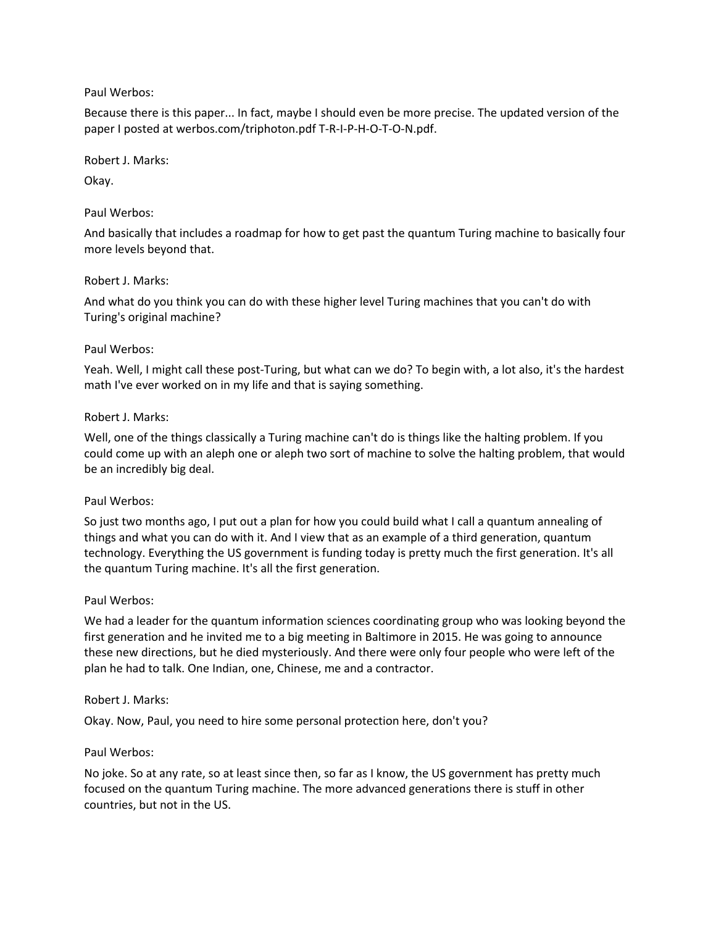## Paul Werbos:

Because there is this paper... In fact, maybe I should even be more precise. The updated version of the paper I posted at werbos.com/triphoton.pdf T-R-I-P-H-O-T-O-N.pdf.

Robert J. Marks:

Okay.

# Paul Werbos:

And basically that includes a roadmap for how to get past the quantum Turing machine to basically four more levels beyond that.

# Robert J. Marks:

And what do you think you can do with these higher level Turing machines that you can't do with Turing's original machine?

# Paul Werbos:

Yeah. Well, I might call these post-Turing, but what can we do? To begin with, a lot also, it's the hardest math I've ever worked on in my life and that is saying something.

# Robert J. Marks:

Well, one of the things classically a Turing machine can't do is things like the halting problem. If you could come up with an aleph one or aleph two sort of machine to solve the halting problem, that would be an incredibly big deal.

## Paul Werbos:

So just two months ago, I put out a plan for how you could build what I call a quantum annealing of things and what you can do with it. And I view that as an example of a third generation, quantum technology. Everything the US government is funding today is pretty much the first generation. It's all the quantum Turing machine. It's all the first generation.

## Paul Werbos:

We had a leader for the quantum information sciences coordinating group who was looking beyond the first generation and he invited me to a big meeting in Baltimore in 2015. He was going to announce these new directions, but he died mysteriously. And there were only four people who were left of the plan he had to talk. One Indian, one, Chinese, me and a contractor.

## Robert J. Marks:

Okay. Now, Paul, you need to hire some personal protection here, don't you?

## Paul Werbos:

No joke. So at any rate, so at least since then, so far as I know, the US government has pretty much focused on the quantum Turing machine. The more advanced generations there is stuff in other countries, but not in the US.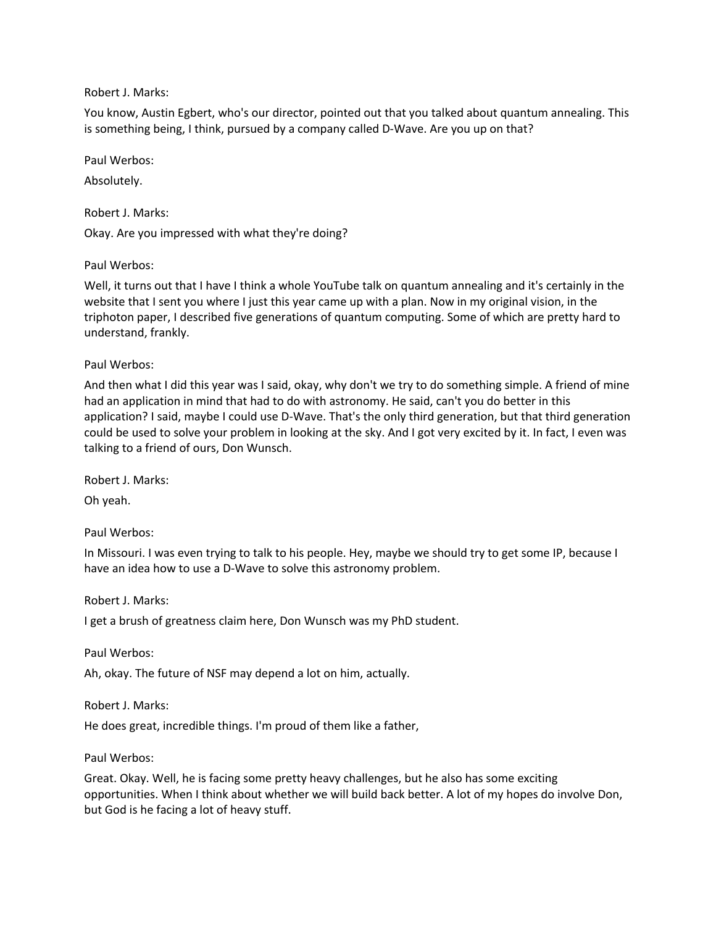## Robert J. Marks:

You know, Austin Egbert, who's our director, pointed out that you talked about quantum annealing. This is something being, I think, pursued by a company called D-Wave. Are you up on that?

Paul Werbos:

Absolutely.

Robert J. Marks:

Okay. Are you impressed with what they're doing?

Paul Werbos:

Well, it turns out that I have I think a whole YouTube talk on quantum annealing and it's certainly in the website that I sent you where I just this year came up with a plan. Now in my original vision, in the triphoton paper, I described five generations of quantum computing. Some of which are pretty hard to understand, frankly.

Paul Werbos:

And then what I did this year was I said, okay, why don't we try to do something simple. A friend of mine had an application in mind that had to do with astronomy. He said, can't you do better in this application? I said, maybe I could use D-Wave. That's the only third generation, but that third generation could be used to solve your problem in looking at the sky. And I got very excited by it. In fact, I even was talking to a friend of ours, Don Wunsch.

Robert J. Marks:

Oh yeah.

Paul Werbos:

In Missouri. I was even trying to talk to his people. Hey, maybe we should try to get some IP, because I have an idea how to use a D-Wave to solve this astronomy problem.

Robert J. Marks:

I get a brush of greatness claim here, Don Wunsch was my PhD student.

Paul Werbos:

Ah, okay. The future of NSF may depend a lot on him, actually.

Robert J. Marks:

He does great, incredible things. I'm proud of them like a father,

Paul Werbos:

Great. Okay. Well, he is facing some pretty heavy challenges, but he also has some exciting opportunities. When I think about whether we will build back better. A lot of my hopes do involve Don, but God is he facing a lot of heavy stuff.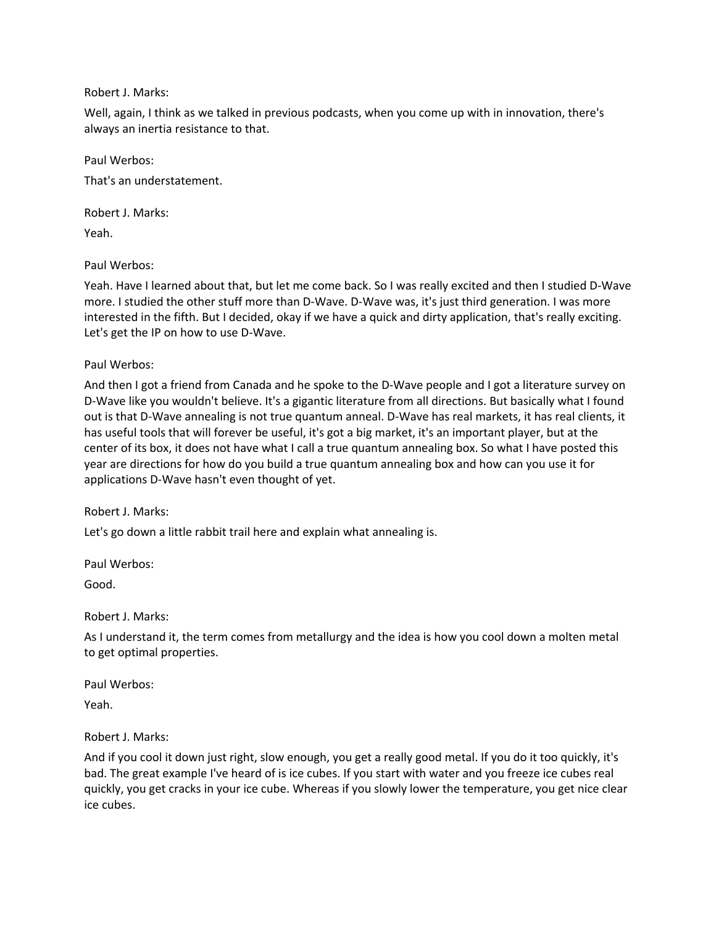## Robert J. Marks:

Well, again, I think as we talked in previous podcasts, when you come up with in innovation, there's always an inertia resistance to that.

Paul Werbos: That's an understatement.

Robert J. Marks:

Yeah.

Paul Werbos:

Yeah. Have I learned about that, but let me come back. So I was really excited and then I studied D-Wave more. I studied the other stuff more than D-Wave. D-Wave was, it's just third generation. I was more interested in the fifth. But I decided, okay if we have a quick and dirty application, that's really exciting. Let's get the IP on how to use D-Wave.

Paul Werbos:

And then I got a friend from Canada and he spoke to the D-Wave people and I got a literature survey on D-Wave like you wouldn't believe. It's a gigantic literature from all directions. But basically what I found out is that D-Wave annealing is not true quantum anneal. D-Wave has real markets, it has real clients, it has useful tools that will forever be useful, it's got a big market, it's an important player, but at the center of its box, it does not have what I call a true quantum annealing box. So what I have posted this year are directions for how do you build a true quantum annealing box and how can you use it for applications D-Wave hasn't even thought of yet.

Robert J. Marks:

Let's go down a little rabbit trail here and explain what annealing is.

Paul Werbos:

Good.

Robert J. Marks:

As I understand it, the term comes from metallurgy and the idea is how you cool down a molten metal to get optimal properties.

Paul Werbos:

Yeah.

Robert J. Marks:

And if you cool it down just right, slow enough, you get a really good metal. If you do it too quickly, it's bad. The great example I've heard of is ice cubes. If you start with water and you freeze ice cubes real quickly, you get cracks in your ice cube. Whereas if you slowly lower the temperature, you get nice clear ice cubes.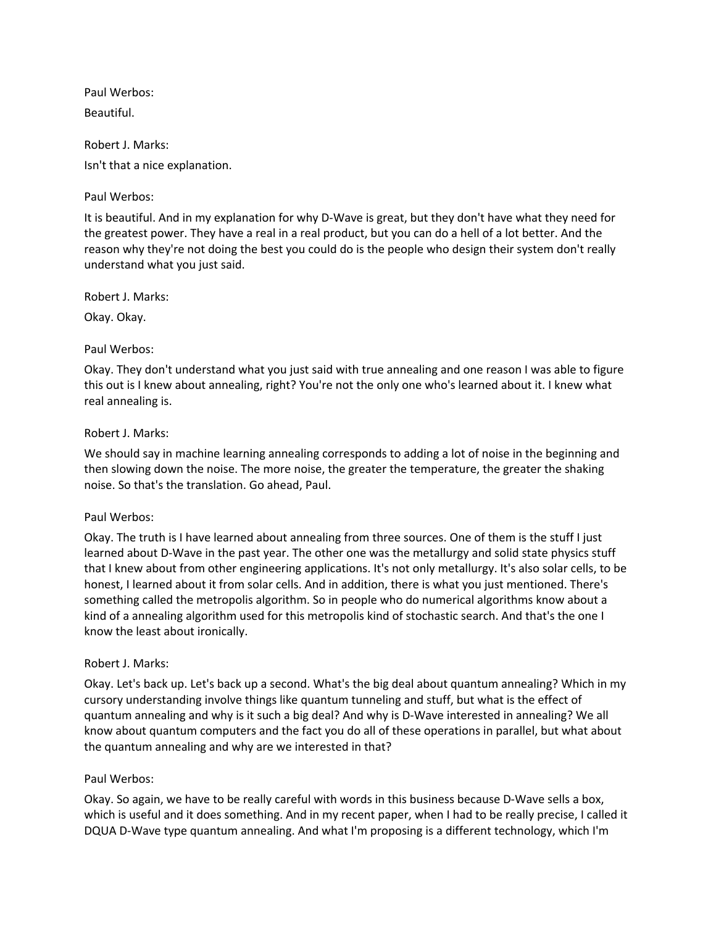Paul Werbos: Beautiful.

Robert J. Marks: Isn't that a nice explanation.

# Paul Werbos:

It is beautiful. And in my explanation for why D-Wave is great, but they don't have what they need for the greatest power. They have a real in a real product, but you can do a hell of a lot better. And the reason why they're not doing the best you could do is the people who design their system don't really understand what you just said.

Robert J. Marks:

Okay. Okay.

## Paul Werbos:

Okay. They don't understand what you just said with true annealing and one reason I was able to figure this out is I knew about annealing, right? You're not the only one who's learned about it. I knew what real annealing is.

## Robert J. Marks:

We should say in machine learning annealing corresponds to adding a lot of noise in the beginning and then slowing down the noise. The more noise, the greater the temperature, the greater the shaking noise. So that's the translation. Go ahead, Paul.

#### Paul Werbos:

Okay. The truth is I have learned about annealing from three sources. One of them is the stuff I just learned about D-Wave in the past year. The other one was the metallurgy and solid state physics stuff that I knew about from other engineering applications. It's not only metallurgy. It's also solar cells, to be honest, I learned about it from solar cells. And in addition, there is what you just mentioned. There's something called the metropolis algorithm. So in people who do numerical algorithms know about a kind of a annealing algorithm used for this metropolis kind of stochastic search. And that's the one I know the least about ironically.

## Robert J. Marks:

Okay. Let's back up. Let's back up a second. What's the big deal about quantum annealing? Which in my cursory understanding involve things like quantum tunneling and stuff, but what is the effect of quantum annealing and why is it such a big deal? And why is D-Wave interested in annealing? We all know about quantum computers and the fact you do all of these operations in parallel, but what about the quantum annealing and why are we interested in that?

## Paul Werbos:

Okay. So again, we have to be really careful with words in this business because D-Wave sells a box, which is useful and it does something. And in my recent paper, when I had to be really precise, I called it DQUA D-Wave type quantum annealing. And what I'm proposing is a different technology, which I'm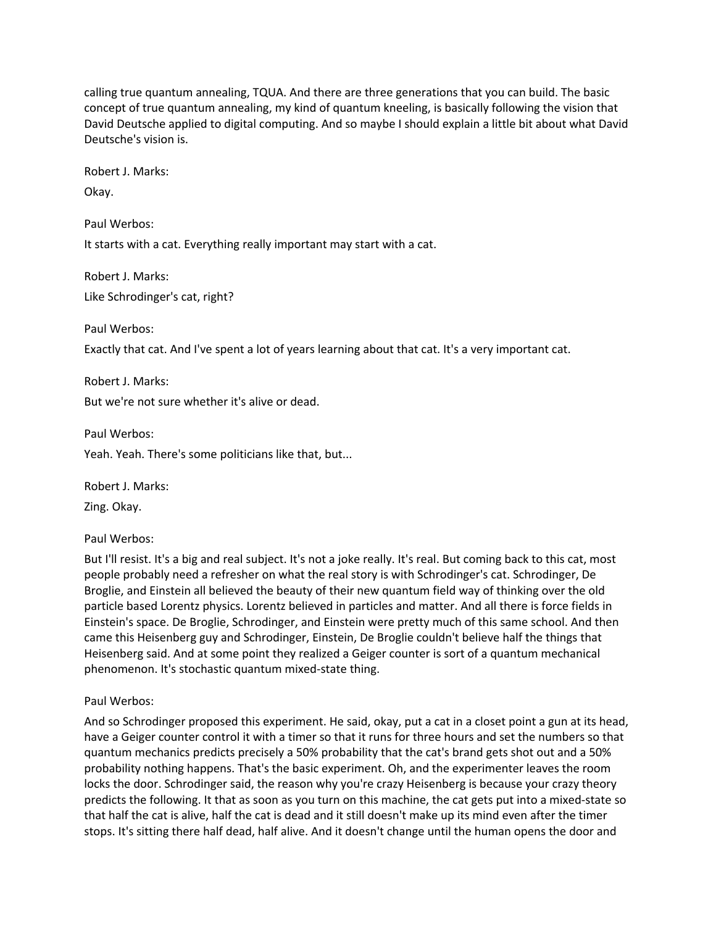calling true quantum annealing, TQUA. And there are three generations that you can build. The basic concept of true quantum annealing, my kind of quantum kneeling, is basically following the vision that David Deutsche applied to digital computing. And so maybe I should explain a little bit about what David Deutsche's vision is.

Robert J. Marks:

Okay.

Paul Werbos:

It starts with a cat. Everything really important may start with a cat.

Robert J. Marks: Like Schrodinger's cat, right?

Paul Werbos:

Exactly that cat. And I've spent a lot of years learning about that cat. It's a very important cat.

Robert J. Marks: But we're not sure whether it's alive or dead.

Paul Werbos:

Yeah. Yeah. There's some politicians like that, but...

Robert J. Marks:

Zing. Okay.

Paul Werbos:

But I'll resist. It's a big and real subject. It's not a joke really. It's real. But coming back to this cat, most people probably need a refresher on what the real story is with Schrodinger's cat. Schrodinger, De Broglie, and Einstein all believed the beauty of their new quantum field way of thinking over the old particle based Lorentz physics. Lorentz believed in particles and matter. And all there is force fields in Einstein's space. De Broglie, Schrodinger, and Einstein were pretty much of this same school. And then came this Heisenberg guy and Schrodinger, Einstein, De Broglie couldn't believe half the things that Heisenberg said. And at some point they realized a Geiger counter is sort of a quantum mechanical phenomenon. It's stochastic quantum mixed-state thing.

Paul Werbos:

And so Schrodinger proposed this experiment. He said, okay, put a cat in a closet point a gun at its head, have a Geiger counter control it with a timer so that it runs for three hours and set the numbers so that quantum mechanics predicts precisely a 50% probability that the cat's brand gets shot out and a 50% probability nothing happens. That's the basic experiment. Oh, and the experimenter leaves the room locks the door. Schrodinger said, the reason why you're crazy Heisenberg is because your crazy theory predicts the following. It that as soon as you turn on this machine, the cat gets put into a mixed-state so that half the cat is alive, half the cat is dead and it still doesn't make up its mind even after the timer stops. It's sitting there half dead, half alive. And it doesn't change until the human opens the door and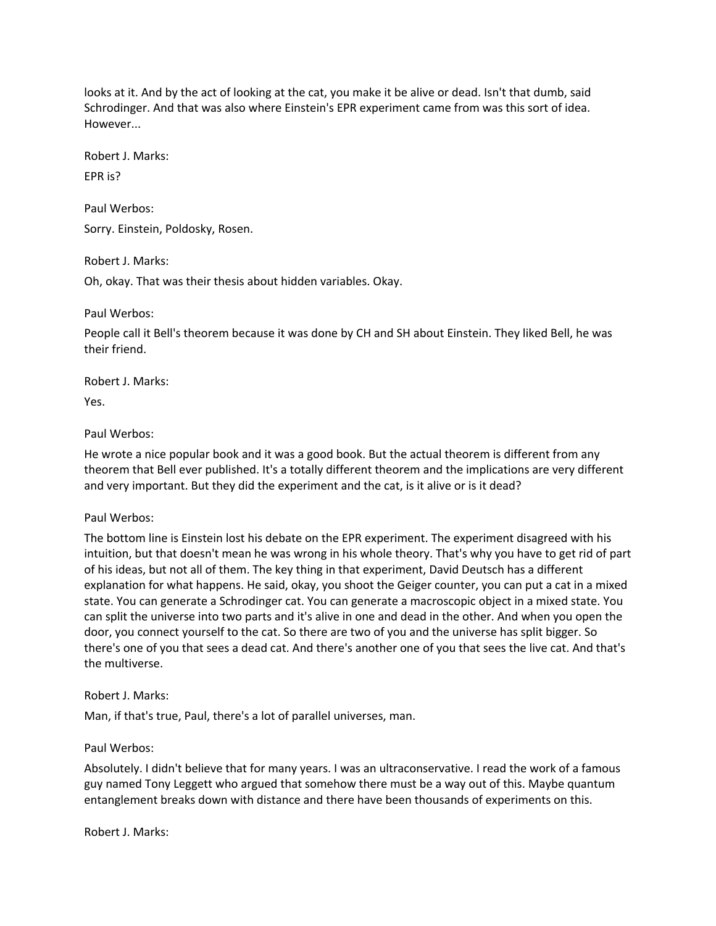looks at it. And by the act of looking at the cat, you make it be alive or dead. Isn't that dumb, said Schrodinger. And that was also where Einstein's EPR experiment came from was this sort of idea. However...

Robert J. Marks:

EPR is?

Paul Werbos: Sorry. Einstein, Poldosky, Rosen.

Robert J. Marks:

Oh, okay. That was their thesis about hidden variables. Okay.

Paul Werbos:

People call it Bell's theorem because it was done by CH and SH about Einstein. They liked Bell, he was their friend.

Robert J. Marks:

Yes.

# Paul Werbos:

He wrote a nice popular book and it was a good book. But the actual theorem is different from any theorem that Bell ever published. It's a totally different theorem and the implications are very different and very important. But they did the experiment and the cat, is it alive or is it dead?

# Paul Werbos:

The bottom line is Einstein lost his debate on the EPR experiment. The experiment disagreed with his intuition, but that doesn't mean he was wrong in his whole theory. That's why you have to get rid of part of his ideas, but not all of them. The key thing in that experiment, David Deutsch has a different explanation for what happens. He said, okay, you shoot the Geiger counter, you can put a cat in a mixed state. You can generate a Schrodinger cat. You can generate a macroscopic object in a mixed state. You can split the universe into two parts and it's alive in one and dead in the other. And when you open the door, you connect yourself to the cat. So there are two of you and the universe has split bigger. So there's one of you that sees a dead cat. And there's another one of you that sees the live cat. And that's the multiverse.

## Robert J. Marks:

Man, if that's true, Paul, there's a lot of parallel universes, man.

# Paul Werbos:

Absolutely. I didn't believe that for many years. I was an ultraconservative. I read the work of a famous guy named Tony Leggett who argued that somehow there must be a way out of this. Maybe quantum entanglement breaks down with distance and there have been thousands of experiments on this.

Robert J. Marks: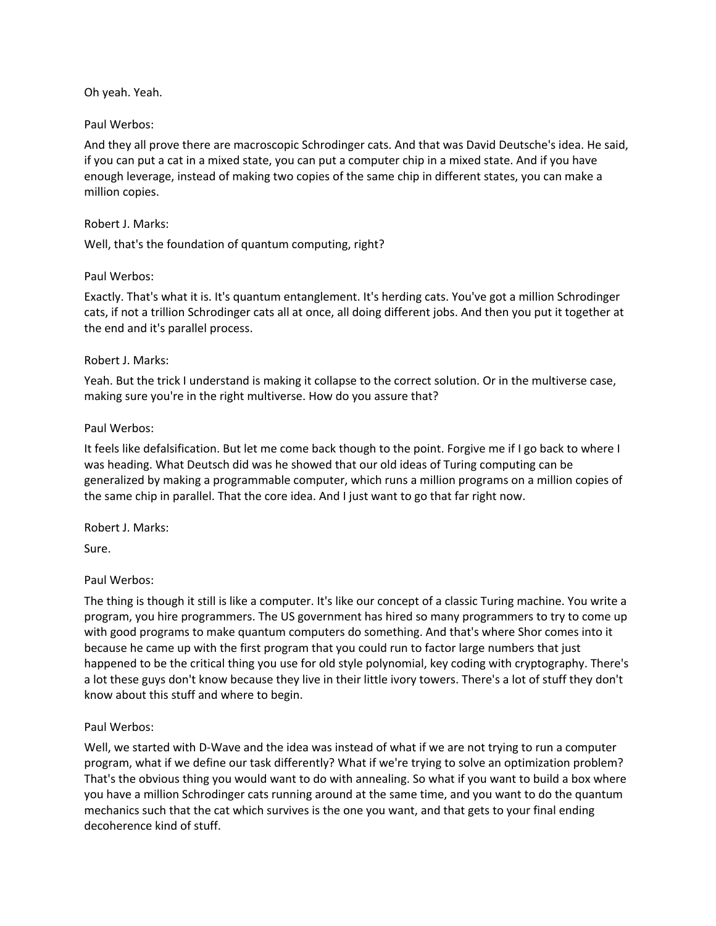Oh yeah. Yeah.

#### Paul Werbos:

And they all prove there are macroscopic Schrodinger cats. And that was David Deutsche's idea. He said, if you can put a cat in a mixed state, you can put a computer chip in a mixed state. And if you have enough leverage, instead of making two copies of the same chip in different states, you can make a million copies.

#### Robert J. Marks:

Well, that's the foundation of quantum computing, right?

#### Paul Werbos:

Exactly. That's what it is. It's quantum entanglement. It's herding cats. You've got a million Schrodinger cats, if not a trillion Schrodinger cats all at once, all doing different jobs. And then you put it together at the end and it's parallel process.

#### Robert J. Marks:

Yeah. But the trick I understand is making it collapse to the correct solution. Or in the multiverse case, making sure you're in the right multiverse. How do you assure that?

#### Paul Werbos:

It feels like defalsification. But let me come back though to the point. Forgive me if I go back to where I was heading. What Deutsch did was he showed that our old ideas of Turing computing can be generalized by making a programmable computer, which runs a million programs on a million copies of the same chip in parallel. That the core idea. And I just want to go that far right now.

## Robert J. Marks:

Sure.

## Paul Werbos:

The thing is though it still is like a computer. It's like our concept of a classic Turing machine. You write a program, you hire programmers. The US government has hired so many programmers to try to come up with good programs to make quantum computers do something. And that's where Shor comes into it because he came up with the first program that you could run to factor large numbers that just happened to be the critical thing you use for old style polynomial, key coding with cryptography. There's a lot these guys don't know because they live in their little ivory towers. There's a lot of stuff they don't know about this stuff and where to begin.

## Paul Werbos:

Well, we started with D-Wave and the idea was instead of what if we are not trying to run a computer program, what if we define our task differently? What if we're trying to solve an optimization problem? That's the obvious thing you would want to do with annealing. So what if you want to build a box where you have a million Schrodinger cats running around at the same time, and you want to do the quantum mechanics such that the cat which survives is the one you want, and that gets to your final ending decoherence kind of stuff.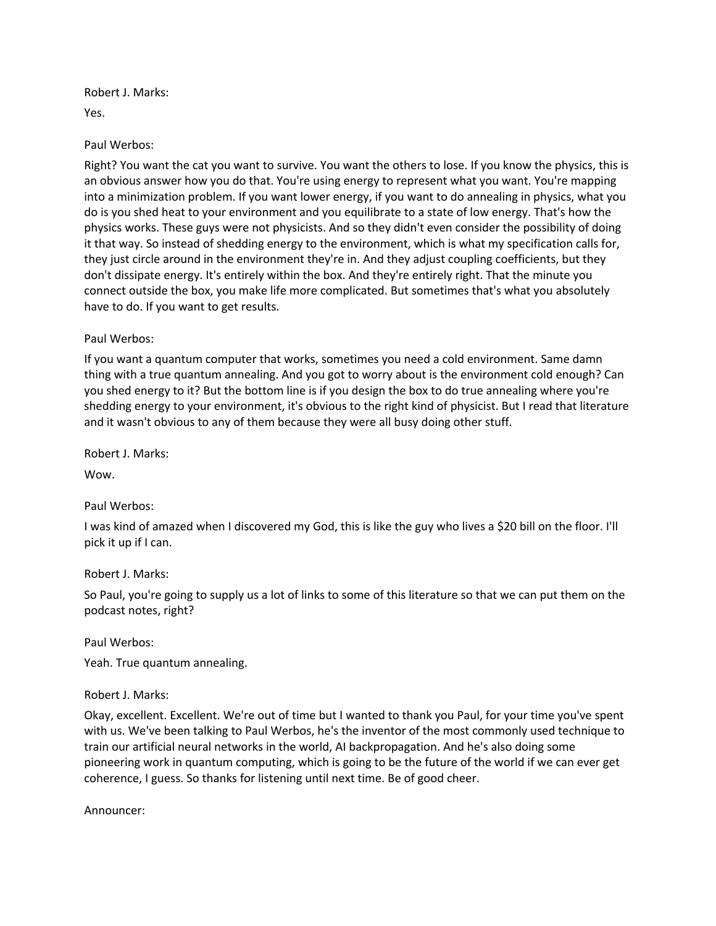Robert J. Marks:

Yes.

## Paul Werbos:

Right? You want the cat you want to survive. You want the others to lose. If you know the physics, this is an obvious answer how you do that. You're using energy to represent what you want. You're mapping into a minimization problem. If you want lower energy, if you want to do annealing in physics, what you do is you shed heat to your environment and you equilibrate to a state of low energy. That's how the physics works. These guys were not physicists. And so they didn't even consider the possibility of doing it that way. So instead of shedding energy to the environment, which is what my specification calls for, they just circle around in the environment they're in. And they adjust coupling coefficients, but they don't dissipate energy. It's entirely within the box. And they're entirely right. That the minute you connect outside the box, you make life more complicated. But sometimes that's what you absolutely have to do. If you want to get results.

## Paul Werbos:

If you want a quantum computer that works, sometimes you need a cold environment. Same damn thing with a true quantum annealing. And you got to worry about is the environment cold enough? Can you shed energy to it? But the bottom line is if you design the box to do true annealing where you're shedding energy to your environment, it's obvious to the right kind of physicist. But I read that literature and it wasn't obvious to any of them because they were all busy doing other stuff.

Robert J. Marks:

Wow.

## Paul Werbos:

I was kind of amazed when I discovered my God, this is like the guy who lives a \$20 bill on the floor. I'll pick it up if I can.

## Robert J. Marks:

So Paul, you're going to supply us a lot of links to some of this literature so that we can put them on the podcast notes, right?

Paul Werbos:

Yeah. True quantum annealing.

## Robert J. Marks:

Okay, excellent. Excellent. We're out of time but I wanted to thank you Paul, for your time you've spent with us. We've been talking to Paul Werbos, he's the inventor of the most commonly used technique to train our artificial neural networks in the world, AI backpropagation. And he's also doing some pioneering work in quantum computing, which is going to be the future of the world if we can ever get coherence, I guess. So thanks for listening until next time. Be of good cheer.

Announcer: